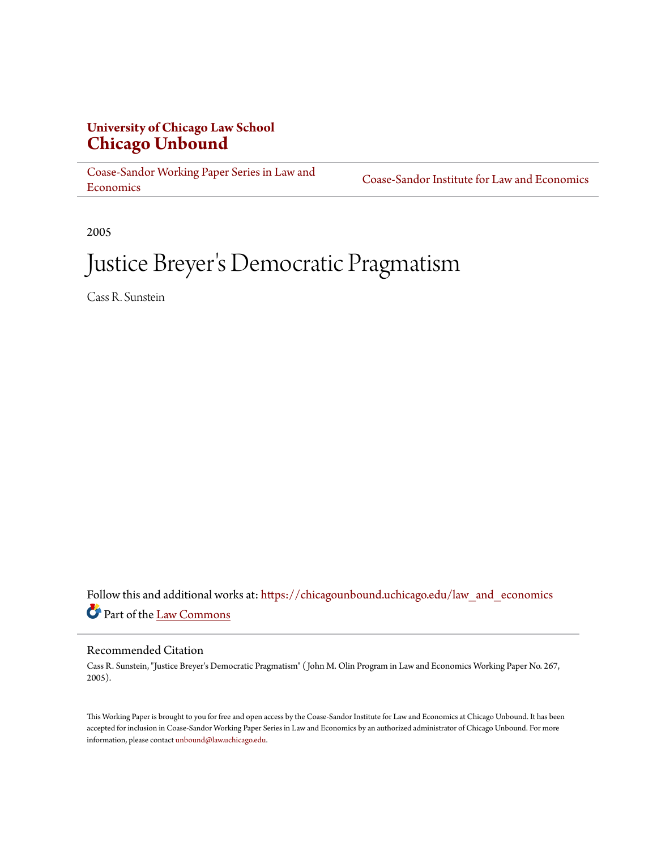# **University of Chicago Law School [Chicago Unbound](https://chicagounbound.uchicago.edu?utm_source=chicagounbound.uchicago.edu%2Flaw_and_economics%2F299&utm_medium=PDF&utm_campaign=PDFCoverPages)**

[Coase-Sandor Working Paper Series in Law and](https://chicagounbound.uchicago.edu/law_and_economics?utm_source=chicagounbound.uchicago.edu%2Flaw_and_economics%2F299&utm_medium=PDF&utm_campaign=PDFCoverPages) [Economics](https://chicagounbound.uchicago.edu/law_and_economics?utm_source=chicagounbound.uchicago.edu%2Flaw_and_economics%2F299&utm_medium=PDF&utm_campaign=PDFCoverPages)

[Coase-Sandor Institute for Law and Economics](https://chicagounbound.uchicago.edu/coase_sandor_institute?utm_source=chicagounbound.uchicago.edu%2Flaw_and_economics%2F299&utm_medium=PDF&utm_campaign=PDFCoverPages)

2005

# Justice Breyer 's Democratic Pragmatism

Cass R. Sunstein

Follow this and additional works at: [https://chicagounbound.uchicago.edu/law\\_and\\_economics](https://chicagounbound.uchicago.edu/law_and_economics?utm_source=chicagounbound.uchicago.edu%2Flaw_and_economics%2F299&utm_medium=PDF&utm_campaign=PDFCoverPages) Part of the [Law Commons](http://network.bepress.com/hgg/discipline/578?utm_source=chicagounbound.uchicago.edu%2Flaw_and_economics%2F299&utm_medium=PDF&utm_campaign=PDFCoverPages)

#### Recommended Citation

Cass R. Sunstein, "Justice Breyer's Democratic Pragmatism" ( John M. Olin Program in Law and Economics Working Paper No. 267, 2005).

This Working Paper is brought to you for free and open access by the Coase-Sandor Institute for Law and Economics at Chicago Unbound. It has been accepted for inclusion in Coase-Sandor Working Paper Series in Law and Economics by an authorized administrator of Chicago Unbound. For more information, please contact [unbound@law.uchicago.edu.](mailto:unbound@law.uchicago.edu)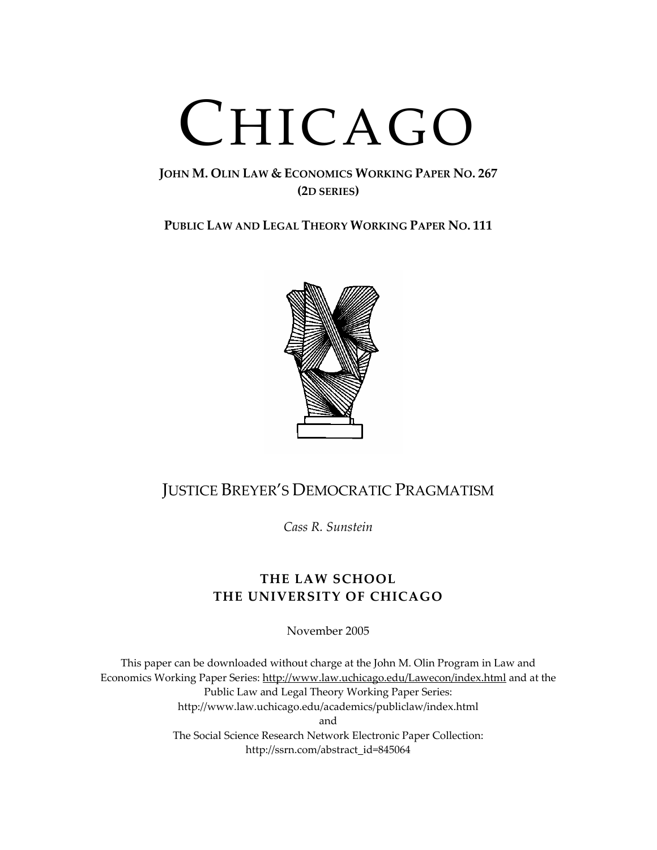# CHICAGO

### **JOHN M. OLIN LAW & ECONOMICS WORKING PAPER NO. 267 (2D SERIES)**

**PUBLIC LAW AND LEGAL THEORY WORKING PAPER NO. 111**



# JUSTICE BREYER'S DEMOCRATIC PRAGMATISM

*Cass R. Sunstein*

## **THE LAW SCHOOL THE UNIVERSITY OF CHICAGO**

November 2005

This paper can be downloaded without charge at the John M. Olin Program in Law and Economics Working Paper Series: http://www.law.uchicago.edu/Lawecon/index.html and at the Public Law and Legal Theory Working Paper Series: http://www.law.uchicago.edu/academics/publiclaw/index.html and The Social Science Research Network Electronic Paper Collection: http://ssrn.com/abstract\_id=845064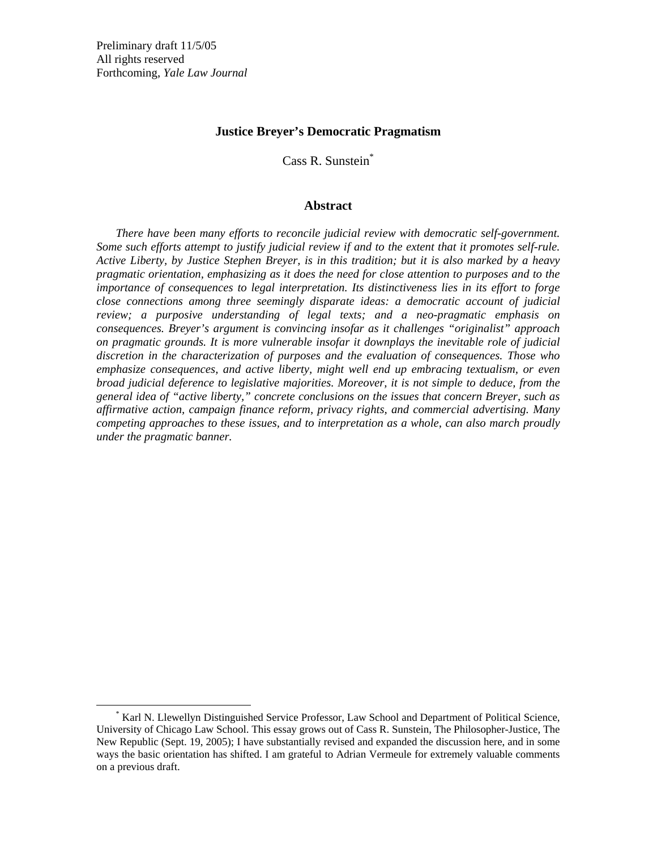#### **Justice Breyer's Democratic Pragmatism**

Cass R. Sunstein\*

#### **Abstract**

*There have been many efforts to reconcile judicial review with democratic self-government. Some such efforts attempt to justify judicial review if and to the extent that it promotes self-rule. Active Liberty, by Justice Stephen Breyer, is in this tradition; but it is also marked by a heavy pragmatic orientation, emphasizing as it does the need for close attention to purposes and to the importance of consequences to legal interpretation. Its distinctiveness lies in its effort to forge close connections among three seemingly disparate ideas: a democratic account of judicial review; a purposive understanding of legal texts; and a neo-pragmatic emphasis on consequences. Breyer's argument is convincing insofar as it challenges "originalist" approach on pragmatic grounds. It is more vulnerable insofar it downplays the inevitable role of judicial discretion in the characterization of purposes and the evaluation of consequences. Those who emphasize consequences, and active liberty, might well end up embracing textualism, or even broad judicial deference to legislative majorities. Moreover, it is not simple to deduce, from the general idea of "active liberty," concrete conclusions on the issues that concern Breyer, such as affirmative action, campaign finance reform, privacy rights, and commercial advertising. Many competing approaches to these issues, and to interpretation as a whole, can also march proudly under the pragmatic banner.* 

\* Karl N. Llewellyn Distinguished Service Professor, Law School and Department of Political Science, University of Chicago Law School. This essay grows out of Cass R. Sunstein, The Philosopher-Justice, The New Republic (Sept. 19, 2005); I have substantially revised and expanded the discussion here, and in some ways the basic orientation has shifted. I am grateful to Adrian Vermeule for extremely valuable comments on a previous draft.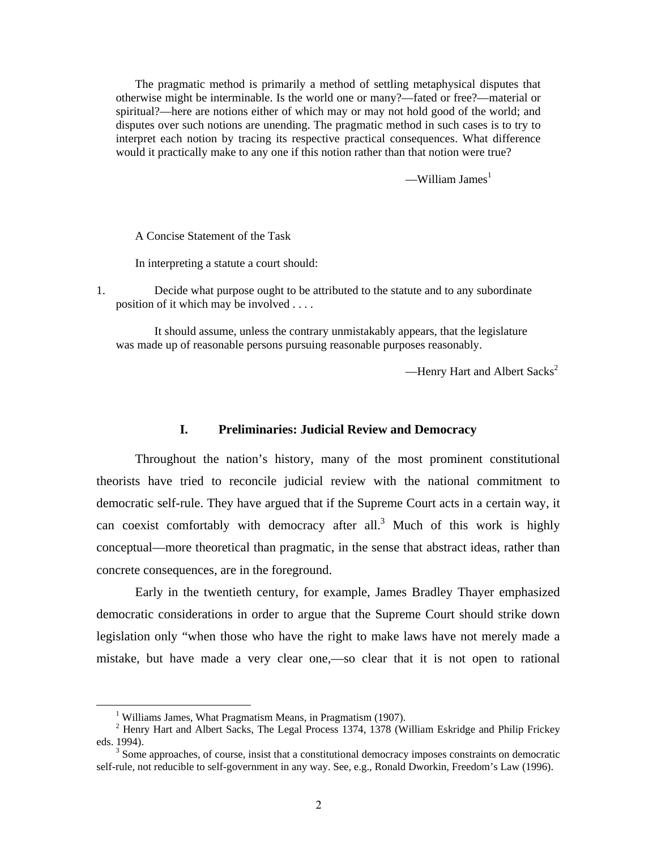The pragmatic method is primarily a method of settling metaphysical disputes that otherwise might be interminable. Is the world one or many?—fated or free?—material or spiritual?—here are notions either of which may or may not hold good of the world; and disputes over such notions are unending. The pragmatic method in such cases is to try to interpret each notion by tracing its respective practical consequences. What difference would it practically make to any one if this notion rather than that notion were true?

—William James $<sup>1</sup>$ </sup>

A Concise Statement of the Task

In interpreting a statute a court should:

1. Decide what purpose ought to be attributed to the statute and to any subordinate position of it which may be involved . . . .

It should assume, unless the contrary unmistakably appears, that the legislature was made up of reasonable persons pursuing reasonable purposes reasonably.

—Henry Hart and Albert Sacks<sup>2</sup>

#### **I. Preliminaries: Judicial Review and Democracy**

Throughout the nation's history, many of the most prominent constitutional theorists have tried to reconcile judicial review with the national commitment to democratic self-rule. They have argued that if the Supreme Court acts in a certain way, it can coexist comfortably with democracy after all.<sup>3</sup> Much of this work is highly conceptual—more theoretical than pragmatic, in the sense that abstract ideas, rather than concrete consequences, are in the foreground.

Early in the twentieth century, for example, James Bradley Thayer emphasized democratic considerations in order to argue that the Supreme Court should strike down legislation only "when those who have the right to make laws have not merely made a mistake, but have made a very clear one,—so clear that it is not open to rational

<sup>1</sup> <sup>1</sup> Williams James, What Pragmatism Means, in Pragmatism (1907).

<sup>&</sup>lt;sup>2</sup> Henry Hart and Albert Sacks, The Legal Process 1374, 1378 (William Eskridge and Philip Frickey eds. 1994).

 $3$  Some approaches, of course, insist that a constitutional democracy imposes constraints on democratic self-rule, not reducible to self-government in any way. See, e.g., Ronald Dworkin, Freedom's Law (1996).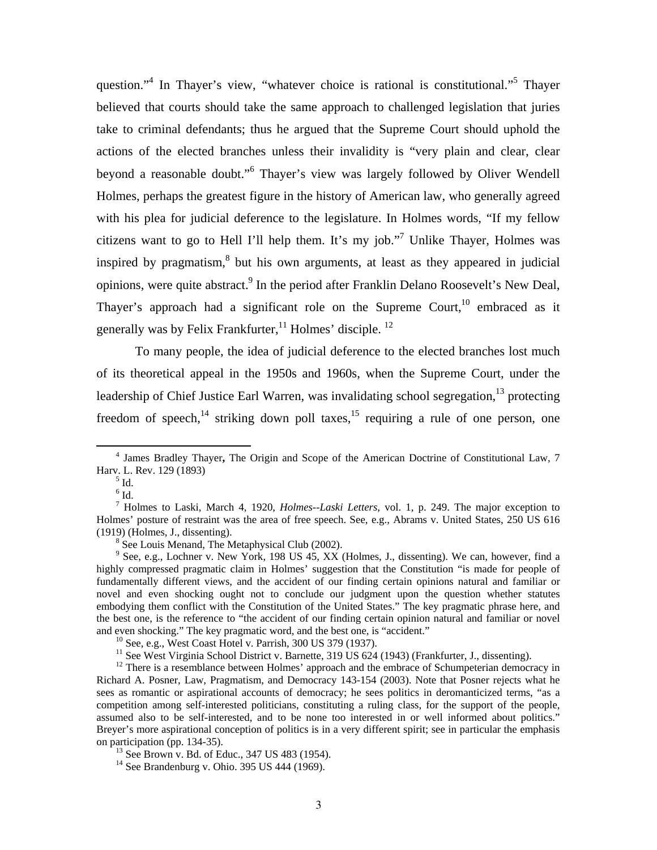question."<sup>4</sup> In Thayer's view, "whatever choice is rational is constitutional."<sup>5</sup> Thayer believed that courts should take the same approach to challenged legislation that juries take to criminal defendants; thus he argued that the Supreme Court should uphold the actions of the elected branches unless their invalidity is "very plain and clear, clear beyond a reasonable doubt."<sup>6</sup> Thayer's view was largely followed by Oliver Wendell Holmes, perhaps the greatest figure in the history of American law, who generally agreed with his plea for judicial deference to the legislature. In Holmes words, "If my fellow citizens want to go to Hell I'll help them. It's my job."<sup>7</sup> Unlike Thayer, Holmes was inspired by pragmatism, ${}^{8}$  but his own arguments, at least as they appeared in judicial opinions, were quite abstract.<sup>9</sup> In the period after Franklin Delano Roosevelt's New Deal, Thayer's approach had a significant role on the Supreme Court,<sup>10</sup> embraced as it generally was by Felix Frankfurter,<sup>11</sup> Holmes' disciple.<sup>12</sup>

To many people, the idea of judicial deference to the elected branches lost much of its theoretical appeal in the 1950s and 1960s, when the Supreme Court, under the leadership of Chief Justice Earl Warren, was invalidating school segregation, $13$  protecting freedom of speech,<sup>14</sup> striking down poll taxes,<sup>15</sup> requiring a rule of one person, one

 $<sup>5</sup>$  Id.</sup>

 $\overline{4}$  James Bradley Thayer**,** The Origin and Scope of the American Doctrine of Constitutional Law, 7 Harv. L. Rev. 129 (1893) 5

 $^6$  Id.

<sup>7</sup> Holmes to Laski, March 4, 1920, *Holmes--Laski Letters*, vol. 1, p. 249. The major exception to Holmes' posture of restraint was the area of free speech. See, e.g., Abrams v. United States, 250 US 616  $(1919)$  (Holmes, J., dissenting).

<sup>&</sup>lt;sup>8</sup> See Louis Menand, The Metaphysical Club (2002).

<sup>&</sup>lt;sup>9</sup> See, e.g., Lochner v. New York, 198 US 45, XX (Holmes, J., dissenting). We can, however, find a highly compressed pragmatic claim in Holmes' suggestion that the Constitution "is made for people of fundamentally different views, and the accident of our finding certain opinions natural and familiar or novel and even shocking ought not to conclude our judgment upon the question whether statutes embodying them conflict with the Constitution of the United States." The key pragmatic phrase here, and the best one, is the reference to "the accident of our finding certain opinion natural and familiar or novel and even shocking." The key pragmatic word, and the best one, is "accident." <sup>10</sup> See, e.g., West Coast Hotel v. Parrish, 300 US 379 (1937).

<sup>&</sup>lt;sup>11</sup> See West Virginia School District v. Barnette, 319 US 624 (1943) (Frankfurter, J., dissenting).

<sup>&</sup>lt;sup>12</sup> There is a resemblance between Holmes' approach and the embrace of Schumpeterian democracy in Richard A. Posner, Law, Pragmatism, and Democracy 143-154 (2003). Note that Posner rejects what he sees as romantic or aspirational accounts of democracy; he sees politics in deromanticized terms, "as a competition among self-interested politicians, constituting a ruling class, for the support of the people, assumed also to be self-interested, and to be none too interested in or well informed about politics." Breyer's more aspirational conception of politics is in a very different spirit; see in particular the emphasis on participation (pp. 134-35).<br><sup>13</sup> See Brown v. Bd. of Educ., 347 US 483 (1954).

<sup>14</sup> See Brandenburg v. Ohio. 395 US 444 (1969).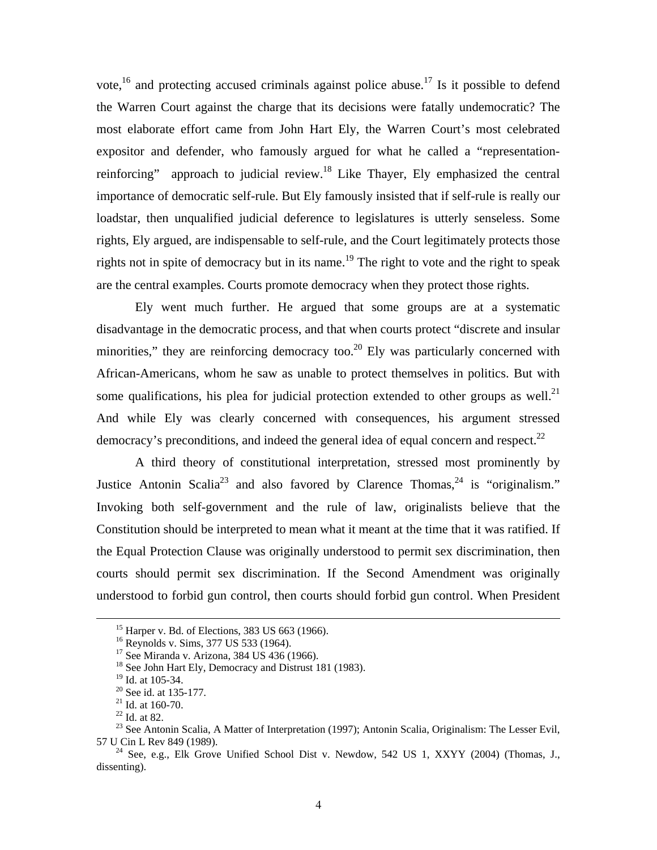vote, $^{16}$  and protecting accused criminals against police abuse.<sup>17</sup> Is it possible to defend the Warren Court against the charge that its decisions were fatally undemocratic? The most elaborate effort came from John Hart Ely, the Warren Court's most celebrated expositor and defender, who famously argued for what he called a "representationreinforcing" approach to judicial review.<sup>18</sup> Like Thayer, Ely emphasized the central importance of democratic self-rule. But Ely famously insisted that if self-rule is really our loadstar, then unqualified judicial deference to legislatures is utterly senseless. Some rights, Ely argued, are indispensable to self-rule, and the Court legitimately protects those rights not in spite of democracy but in its name.<sup>19</sup> The right to vote and the right to speak are the central examples. Courts promote democracy when they protect those rights.

Ely went much further. He argued that some groups are at a systematic disadvantage in the democratic process, and that when courts protect "discrete and insular minorities," they are reinforcing democracy too. $^{20}$  Ely was particularly concerned with African-Americans, whom he saw as unable to protect themselves in politics. But with some qualifications, his plea for judicial protection extended to other groups as well.<sup>21</sup> And while Ely was clearly concerned with consequences, his argument stressed democracy's preconditions, and indeed the general idea of equal concern and respect.<sup>22</sup>

A third theory of constitutional interpretation, stressed most prominently by Justice Antonin Scalia<sup>23</sup> and also favored by Clarence Thomas,<sup>24</sup> is "originalism." Invoking both self-government and the rule of law, originalists believe that the Constitution should be interpreted to mean what it meant at the time that it was ratified. If the Equal Protection Clause was originally understood to permit sex discrimination, then courts should permit sex discrimination. If the Second Amendment was originally understood to forbid gun control, then courts should forbid gun control. When President

<sup>&</sup>lt;sup>15</sup> Harper v. Bd. of Elections, 383 US 663 (1966).

<sup>&</sup>lt;sup>16</sup> Reynolds v. Sims, 377 US 533 (1964).

<sup>17</sup> See Miranda v. Arizona, 384 US 436 (1966).

<sup>&</sup>lt;sup>18</sup> See John Hart Ely, Democracy and Distrust 181 (1983).

<sup>&</sup>lt;sup>19</sup> Id. at 105-34.

<sup>20</sup> See id. at 135-177.

 $21$  Id. at 160-70.

 $22$  Id. at 82.

<sup>&</sup>lt;sup>23</sup> See Antonin Scalia, A Matter of Interpretation (1997); Antonin Scalia, Originalism: The Lesser Evil, 57 U Cin L Rev 849 (1989).

<sup>&</sup>lt;sup>24</sup> See, e.g., Elk Grove Unified School Dist v. Newdow, 542 US 1, XXYY (2004) (Thomas, J., dissenting).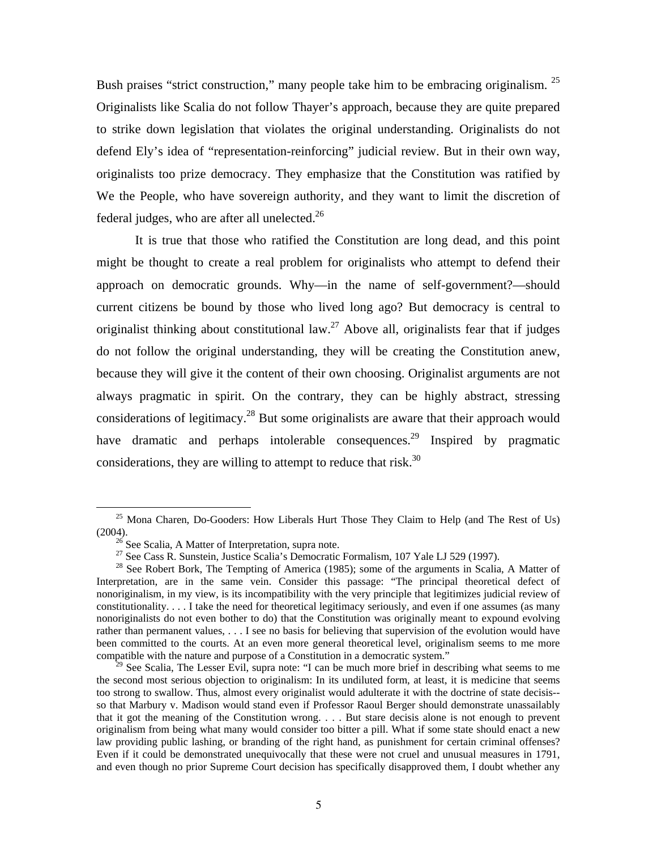Bush praises "strict construction," many people take him to be embracing originalism.  $2^5$ Originalists like Scalia do not follow Thayer's approach, because they are quite prepared to strike down legislation that violates the original understanding. Originalists do not defend Ely's idea of "representation-reinforcing" judicial review. But in their own way, originalists too prize democracy. They emphasize that the Constitution was ratified by We the People, who have sovereign authority, and they want to limit the discretion of federal judges, who are after all unelected. $^{26}$ 

It is true that those who ratified the Constitution are long dead, and this point might be thought to create a real problem for originalists who attempt to defend their approach on democratic grounds. Why—in the name of self-government?—should current citizens be bound by those who lived long ago? But democracy is central to originalist thinking about constitutional law.<sup>27</sup> Above all, originalists fear that if judges do not follow the original understanding, they will be creating the Constitution anew, because they will give it the content of their own choosing. Originalist arguments are not always pragmatic in spirit. On the contrary, they can be highly abstract, stressing considerations of legitimacy.<sup>28</sup> But some originalists are aware that their approach would have dramatic and perhaps intolerable consequences.<sup>29</sup> Inspired by pragmatic considerations, they are willing to attempt to reduce that risk. $30$ 

 $25$  Mona Charen, Do-Gooders: How Liberals Hurt Those They Claim to Help (and The Rest of Us) (2004). <sup>26</sup> See Scalia, A Matter of Interpretation, supra note.

<sup>&</sup>lt;sup>27</sup> See Cass R. Sunstein, Justice Scalia's Democratic Formalism, 107 Yale LJ 529 (1997).

 $28$  See Robert Bork, The Tempting of America (1985); some of the arguments in Scalia, A Matter of Interpretation, are in the same vein. Consider this passage: "The principal theoretical defect of nonoriginalism, in my view, is its incompatibility with the very principle that legitimizes judicial review of constitutionality. . . . I take the need for theoretical legitimacy seriously, and even if one assumes (as many nonoriginalists do not even bother to do) that the Constitution was originally meant to expound evolving rather than permanent values, . . . I see no basis for believing that supervision of the evolution would have been committed to the courts. At an even more general theoretical level, originalism seems to me more compatible with the nature and purpose of a Constitution in a democratic system."

 $29$  See Scalia, The Lesser Evil, supra note: "I can be much more brief in describing what seems to me the second most serious objection to originalism: In its undiluted form, at least, it is medicine that seems too strong to swallow. Thus, almost every originalist would adulterate it with the doctrine of state decisis- so that Marbury v. Madison would stand even if Professor Raoul Berger should demonstrate unassailably that it got the meaning of the Constitution wrong. . . . But stare decisis alone is not enough to prevent originalism from being what many would consider too bitter a pill. What if some state should enact a new law providing public lashing, or branding of the right hand, as punishment for certain criminal offenses? Even if it could be demonstrated unequivocally that these were not cruel and unusual measures in 1791, and even though no prior Supreme Court decision has specifically disapproved them, I doubt whether any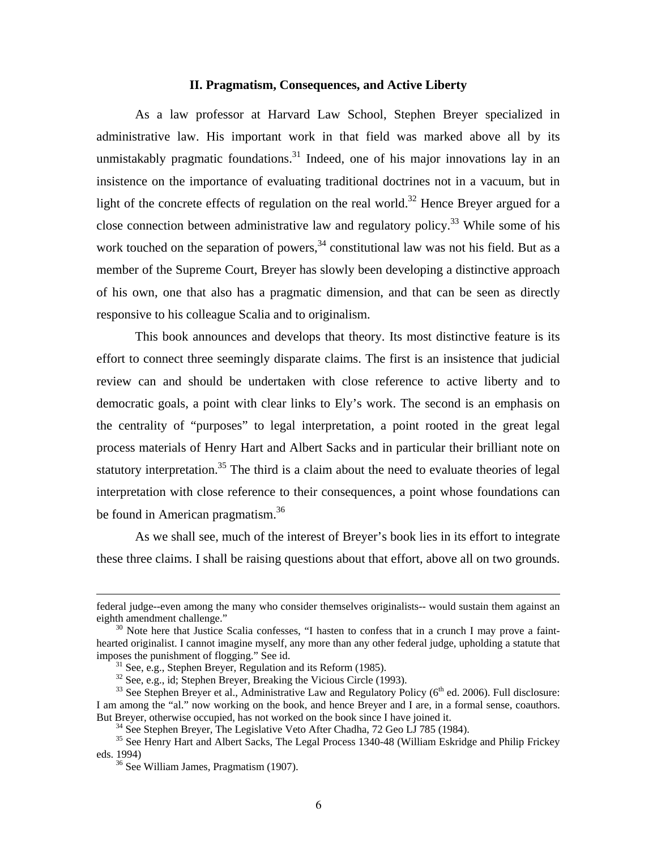#### **II. Pragmatism, Consequences, and Active Liberty**

As a law professor at Harvard Law School, Stephen Breyer specialized in administrative law. His important work in that field was marked above all by its unmistakably pragmatic foundations.<sup>31</sup> Indeed, one of his major innovations lay in an insistence on the importance of evaluating traditional doctrines not in a vacuum, but in light of the concrete effects of regulation on the real world.<sup>32</sup> Hence Breyer argued for a close connection between administrative law and regulatory policy.<sup>33</sup> While some of his work touched on the separation of powers,  $34$  constitutional law was not his field. But as a member of the Supreme Court, Breyer has slowly been developing a distinctive approach of his own, one that also has a pragmatic dimension, and that can be seen as directly responsive to his colleague Scalia and to originalism.

This book announces and develops that theory. Its most distinctive feature is its effort to connect three seemingly disparate claims. The first is an insistence that judicial review can and should be undertaken with close reference to active liberty and to democratic goals, a point with clear links to Ely's work. The second is an emphasis on the centrality of "purposes" to legal interpretation, a point rooted in the great legal process materials of Henry Hart and Albert Sacks and in particular their brilliant note on statutory interpretation.<sup>35</sup> The third is a claim about the need to evaluate theories of legal interpretation with close reference to their consequences, a point whose foundations can be found in American pragmatism.<sup>36</sup>

As we shall see, much of the interest of Breyer's book lies in its effort to integrate these three claims. I shall be raising questions about that effort, above all on two grounds.

1

federal judge--even among the many who consider themselves originalists-- would sustain them against an

<sup>&</sup>lt;sup>30</sup> Note here that Justice Scalia confesses, "I hasten to confess that in a crunch I may prove a fainthearted originalist. I cannot imagine myself, any more than any other federal judge, upholding a statute that imposes the punishment of flogging." See id.

 $^{31}$  See, e.g., Stephen Breyer, Regulation and its Reform (1985).

<sup>&</sup>lt;sup>32</sup> See, e.g., id; Stephen Breyer, Breaking the Vicious Circle (1993).

 $33$  See Stephen Breyer et al., Administrative Law and Regulatory Policy ( $6<sup>th</sup>$  ed. 2006). Full disclosure: I am among the "al." now working on the book, and hence Breyer and I are, in a formal sense, coauthors. But Breyer, otherwise occupied, has not worked on the book since I have joined it.<br><sup>34</sup> See Stephen Breyer, The Legislative Veto After Chadha, 72 Geo LJ 785 (1984).

<sup>&</sup>lt;sup>35</sup> See Henry Hart and Albert Sacks, The Legal Process 1340-48 (William Eskridge and Philip Frickey eds. 1994)<br> $36$  See William James, Pragmatism (1907).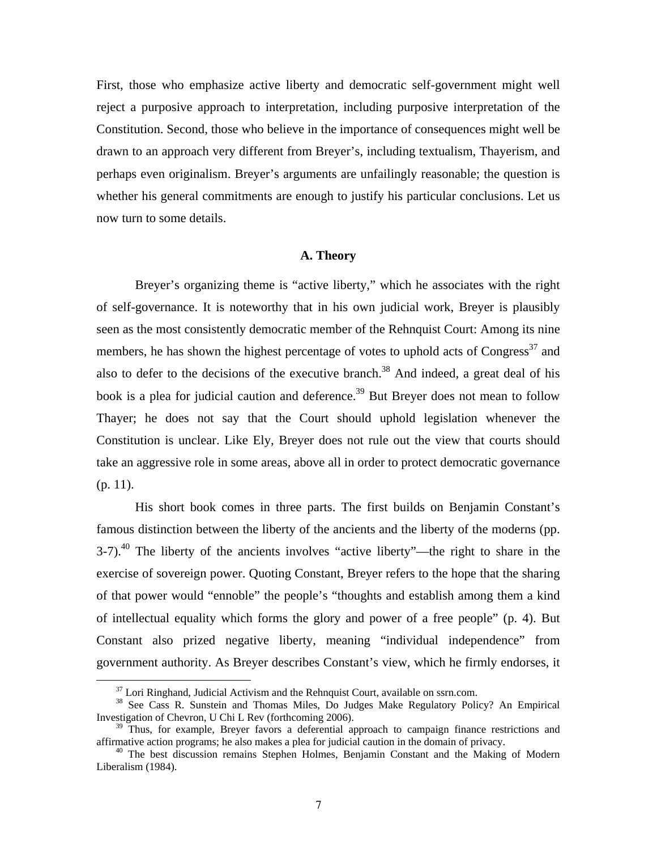First, those who emphasize active liberty and democratic self-government might well reject a purposive approach to interpretation, including purposive interpretation of the Constitution. Second, those who believe in the importance of consequences might well be drawn to an approach very different from Breyer's, including textualism, Thayerism, and perhaps even originalism. Breyer's arguments are unfailingly reasonable; the question is whether his general commitments are enough to justify his particular conclusions. Let us now turn to some details.

#### **A. Theory**

Breyer's organizing theme is "active liberty," which he associates with the right of self-governance. It is noteworthy that in his own judicial work, Breyer is plausibly seen as the most consistently democratic member of the Rehnquist Court: Among its nine members, he has shown the highest percentage of votes to uphold acts of  $Congress<sup>37</sup>$  and also to defer to the decisions of the executive branch.<sup>38</sup> And indeed, a great deal of his book is a plea for judicial caution and deference.<sup>39</sup> But Breyer does not mean to follow Thayer; he does not say that the Court should uphold legislation whenever the Constitution is unclear. Like Ely, Breyer does not rule out the view that courts should take an aggressive role in some areas, above all in order to protect democratic governance (p. 11).

His short book comes in three parts. The first builds on Benjamin Constant's famous distinction between the liberty of the ancients and the liberty of the moderns (pp.  $3-7$ ).<sup>40</sup> The liberty of the ancients involves "active liberty"—the right to share in the exercise of sovereign power. Quoting Constant, Breyer refers to the hope that the sharing of that power would "ennoble" the people's "thoughts and establish among them a kind of intellectual equality which forms the glory and power of a free people" (p. 4). But Constant also prized negative liberty, meaning "individual independence" from government authority. As Breyer describes Constant's view, which he firmly endorses, it

 $37$  Lori Ringhand, Judicial Activism and the Rehnquist Court, available on ssrn.com.

<sup>38</sup> See Cass R. Sunstein and Thomas Miles, Do Judges Make Regulatory Policy? An Empirical Investigation of Chevron, U Chi L Rev (forthcoming 2006).

 $39$  Thus, for example, Breyer favors a deferential approach to campaign finance restrictions and affirmative action programs; he also makes a plea for judicial caution in the domain of privacy.

 $40$  The best discussion remains Stephen Holmes, Benjamin Constant and the Making of Modern Liberalism (1984).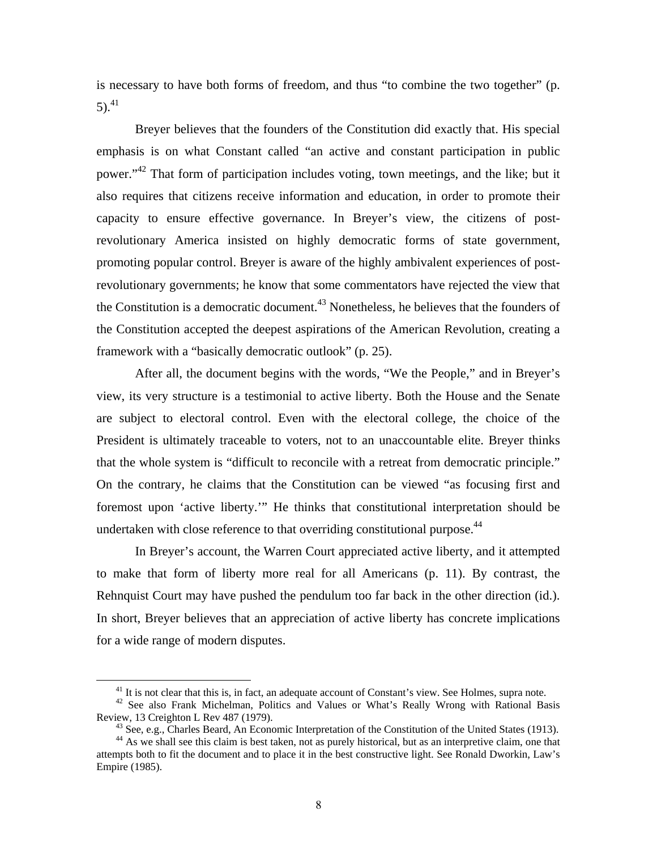is necessary to have both forms of freedom, and thus "to combine the two together" (p. 5).<sup>41</sup>

 Breyer believes that the founders of the Constitution did exactly that. His special emphasis is on what Constant called "an active and constant participation in public power."<sup>42</sup> That form of participation includes voting, town meetings, and the like; but it also requires that citizens receive information and education, in order to promote their capacity to ensure effective governance. In Breyer's view, the citizens of postrevolutionary America insisted on highly democratic forms of state government, promoting popular control. Breyer is aware of the highly ambivalent experiences of postrevolutionary governments; he know that some commentators have rejected the view that the Constitution is a democratic document.<sup>43</sup> Nonetheless, he believes that the founders of the Constitution accepted the deepest aspirations of the American Revolution, creating a framework with a "basically democratic outlook" (p. 25).

After all, the document begins with the words, "We the People," and in Breyer's view, its very structure is a testimonial to active liberty. Both the House and the Senate are subject to electoral control. Even with the electoral college, the choice of the President is ultimately traceable to voters, not to an unaccountable elite. Breyer thinks that the whole system is "difficult to reconcile with a retreat from democratic principle." On the contrary, he claims that the Constitution can be viewed "as focusing first and foremost upon 'active liberty.'" He thinks that constitutional interpretation should be undertaken with close reference to that overriding constitutional purpose.<sup>44</sup>

 In Breyer's account, the Warren Court appreciated active liberty, and it attempted to make that form of liberty more real for all Americans (p. 11). By contrast, the Rehnquist Court may have pushed the pendulum too far back in the other direction (id.). In short, Breyer believes that an appreciation of active liberty has concrete implications for a wide range of modern disputes.

<sup>&</sup>lt;sup>41</sup> It is not clear that this is, in fact, an adequate account of Constant's view. See Holmes, supra note. <sup>42</sup> See also Frank Michelman, Politics and Values or What's Really Wrong with Rational Basis Review, 13 Creighto

<sup>&</sup>lt;sup>43</sup> See, e.g., Charles Beard, An Economic Interpretation of the Constitution of the United States (1913).<br><sup>44</sup> As we shall see this claim is best taken, not as purely historical, but as an interpretive claim, one that attempts both to fit the document and to place it in the best constructive light. See Ronald Dworkin, Law's Empire (1985).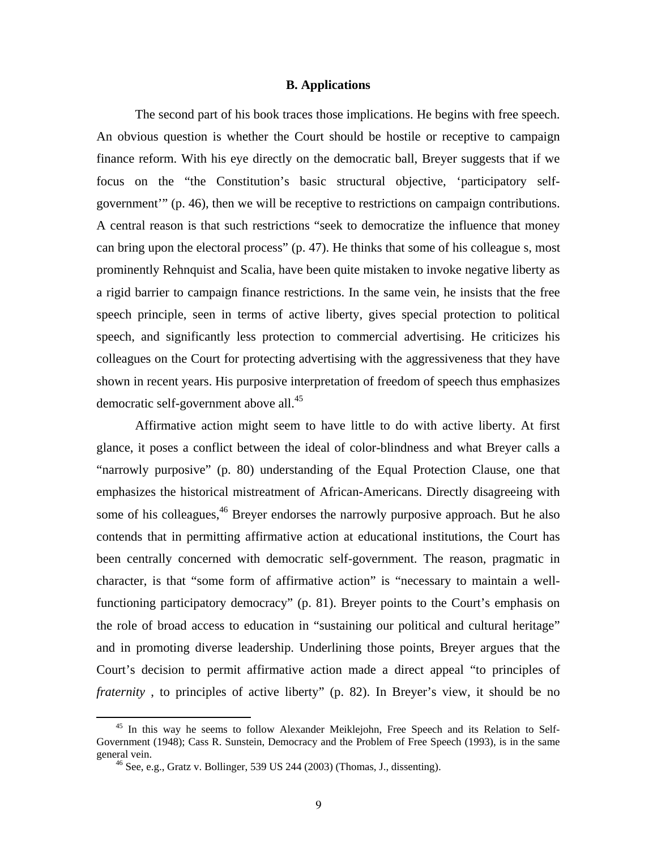#### **B. Applications**

The second part of his book traces those implications. He begins with free speech. An obvious question is whether the Court should be hostile or receptive to campaign finance reform. With his eye directly on the democratic ball, Breyer suggests that if we focus on the "the Constitution's basic structural objective, 'participatory selfgovernment'" (p. 46), then we will be receptive to restrictions on campaign contributions. A central reason is that such restrictions "seek to democratize the influence that money can bring upon the electoral process" (p. 47). He thinks that some of his colleague s, most prominently Rehnquist and Scalia, have been quite mistaken to invoke negative liberty as a rigid barrier to campaign finance restrictions. In the same vein, he insists that the free speech principle, seen in terms of active liberty, gives special protection to political speech, and significantly less protection to commercial advertising. He criticizes his colleagues on the Court for protecting advertising with the aggressiveness that they have shown in recent years. His purposive interpretation of freedom of speech thus emphasizes democratic self-government above all.<sup>45</sup>

 Affirmative action might seem to have little to do with active liberty. At first glance, it poses a conflict between the ideal of color-blindness and what Breyer calls a "narrowly purposive" (p. 80) understanding of the Equal Protection Clause, one that emphasizes the historical mistreatment of African-Americans. Directly disagreeing with some of his colleagues,  $46$  Breyer endorses the narrowly purposive approach. But he also contends that in permitting affirmative action at educational institutions, the Court has been centrally concerned with democratic self-government. The reason, pragmatic in character, is that "some form of affirmative action" is "necessary to maintain a wellfunctioning participatory democracy" (p. 81). Breyer points to the Court's emphasis on the role of broad access to education in "sustaining our political and cultural heritage" and in promoting diverse leadership. Underlining those points, Breyer argues that the Court's decision to permit affirmative action made a direct appeal "to principles of *fraternity* , to principles of active liberty" (p. 82). In Breyer's view, it should be no

<sup>&</sup>lt;sup>45</sup> In this way he seems to follow Alexander Meiklejohn, Free Speech and its Relation to Self-Government (1948); Cass R. Sunstein, Democracy and the Problem of Free Speech (1993), is in the same general vein.<br><sup>46</sup> See, e.g., Gratz v. Bollinger, 539 US 244 (2003) (Thomas, J., dissenting).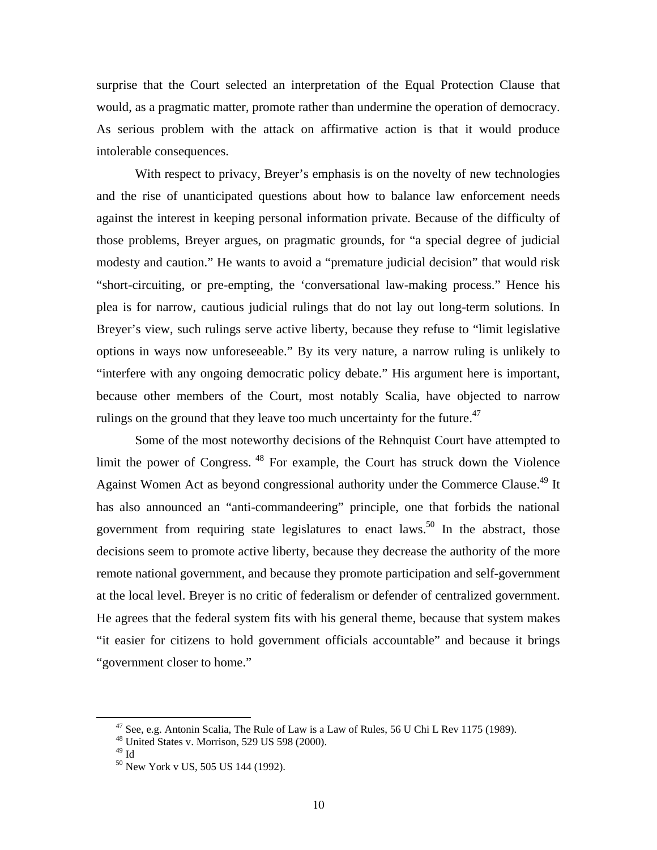surprise that the Court selected an interpretation of the Equal Protection Clause that would, as a pragmatic matter, promote rather than undermine the operation of democracy. As serious problem with the attack on affirmative action is that it would produce intolerable consequences.

With respect to privacy, Breyer's emphasis is on the novelty of new technologies and the rise of unanticipated questions about how to balance law enforcement needs against the interest in keeping personal information private. Because of the difficulty of those problems, Breyer argues, on pragmatic grounds, for "a special degree of judicial modesty and caution." He wants to avoid a "premature judicial decision" that would risk "short-circuiting, or pre-empting, the 'conversational law-making process." Hence his plea is for narrow, cautious judicial rulings that do not lay out long-term solutions. In Breyer's view, such rulings serve active liberty, because they refuse to "limit legislative options in ways now unforeseeable." By its very nature, a narrow ruling is unlikely to "interfere with any ongoing democratic policy debate." His argument here is important, because other members of the Court, most notably Scalia, have objected to narrow rulings on the ground that they leave too much uncertainty for the future.<sup>47</sup>

Some of the most noteworthy decisions of the Rehnquist Court have attempted to limit the power of Congress. 48 For example, the Court has struck down the Violence Against Women Act as beyond congressional authority under the Commerce Clause.<sup>49</sup> It has also announced an "anti-commandeering" principle, one that forbids the national government from requiring state legislatures to enact laws.<sup>50</sup> In the abstract, those decisions seem to promote active liberty, because they decrease the authority of the more remote national government, and because they promote participation and self-government at the local level. Breyer is no critic of federalism or defender of centralized government. He agrees that the federal system fits with his general theme, because that system makes "it easier for citizens to hold government officials accountable" and because it brings "government closer to home."

 $47$  See, e.g. Antonin Scalia, The Rule of Law is a Law of Rules, 56 U Chi L Rev 1175 (1989).

<sup>48</sup> United States v. Morrison, 529 US 598 (2000).

<sup>49</sup> Id

<sup>&</sup>lt;sup>50</sup> New York v US, 505 US 144 (1992).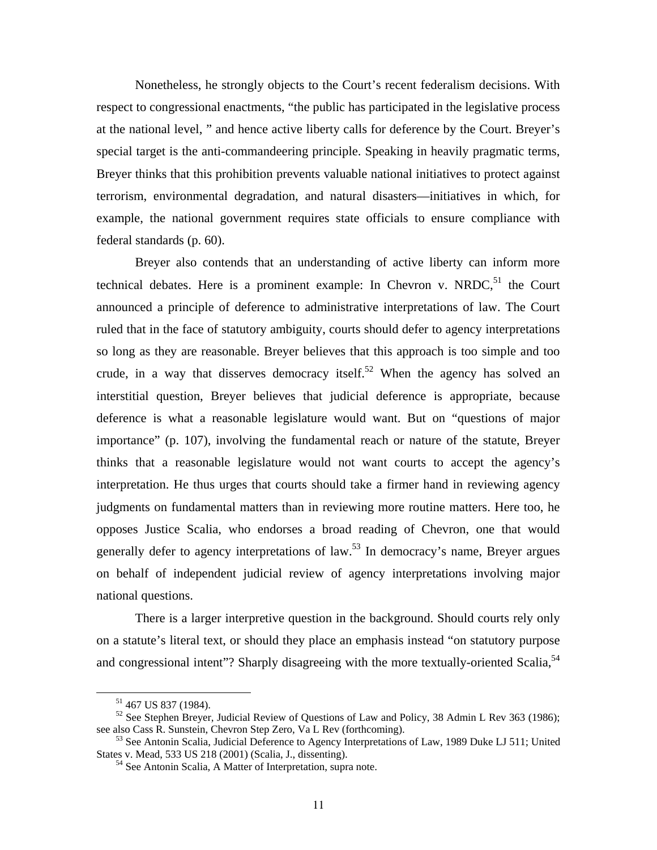Nonetheless, he strongly objects to the Court's recent federalism decisions. With respect to congressional enactments, "the public has participated in the legislative process at the national level, " and hence active liberty calls for deference by the Court. Breyer's special target is the anti-commandeering principle. Speaking in heavily pragmatic terms, Breyer thinks that this prohibition prevents valuable national initiatives to protect against terrorism, environmental degradation, and natural disasters—initiatives in which, for example, the national government requires state officials to ensure compliance with federal standards (p. 60).

 Breyer also contends that an understanding of active liberty can inform more technical debates. Here is a prominent example: In Chevron v. NRDC,<sup>51</sup> the Court announced a principle of deference to administrative interpretations of law. The Court ruled that in the face of statutory ambiguity, courts should defer to agency interpretations so long as they are reasonable. Breyer believes that this approach is too simple and too crude, in a way that disserves democracy itself.<sup>52</sup> When the agency has solved an interstitial question, Breyer believes that judicial deference is appropriate, because deference is what a reasonable legislature would want. But on "questions of major importance" (p. 107), involving the fundamental reach or nature of the statute, Breyer thinks that a reasonable legislature would not want courts to accept the agency's interpretation. He thus urges that courts should take a firmer hand in reviewing agency judgments on fundamental matters than in reviewing more routine matters. Here too, he opposes Justice Scalia, who endorses a broad reading of Chevron, one that would generally defer to agency interpretations of law.<sup>53</sup> In democracy's name, Breyer argues on behalf of independent judicial review of agency interpretations involving major national questions.

There is a larger interpretive question in the background. Should courts rely only on a statute's literal text, or should they place an emphasis instead "on statutory purpose and congressional intent"? Sharply disagreeing with the more textually-oriented Scalia,<sup>54</sup>

51 467 US 837 (1984).

 $52$  See Stephen Breyer, Judicial Review of Questions of Law and Policy, 38 Admin L Rev 363 (1986); see also Cass R. Sunstein, Chevron Step Zero, Va L Rev (forthcoming).

<sup>&</sup>lt;sup>53</sup> See Antonin Scalia, Judicial Deference to Agency Interpretations of Law, 1989 Duke LJ 511; United States v. Mead, 533 US 218 (2001) (Scalia, J., dissenting).

<sup>&</sup>lt;sup>54</sup> See Antonin Scalia, A Matter of Interpretation, supra note.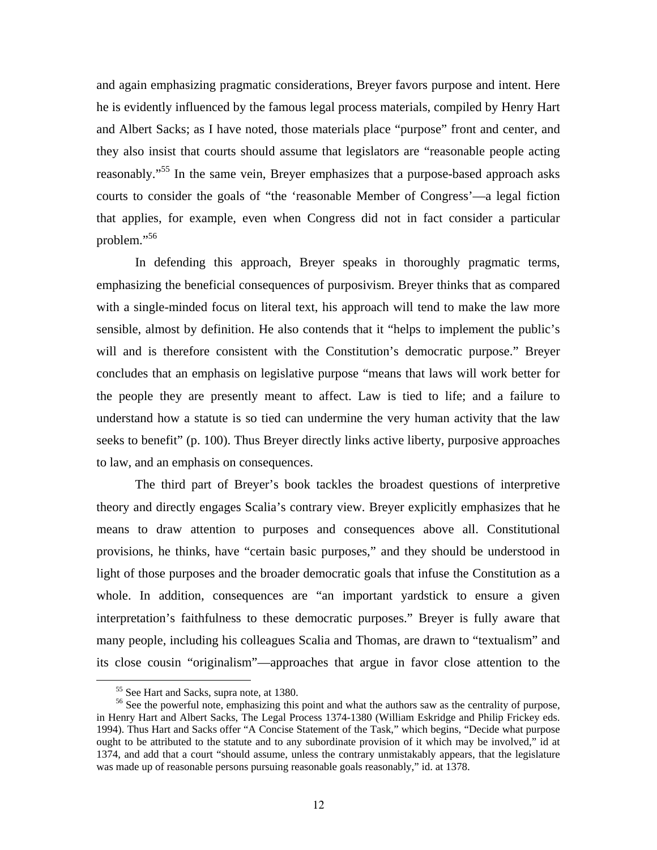and again emphasizing pragmatic considerations, Breyer favors purpose and intent. Here he is evidently influenced by the famous legal process materials, compiled by Henry Hart and Albert Sacks; as I have noted, those materials place "purpose" front and center, and they also insist that courts should assume that legislators are "reasonable people acting reasonably."<sup>55</sup> In the same vein, Breyer emphasizes that a purpose-based approach asks courts to consider the goals of "the 'reasonable Member of Congress'—a legal fiction that applies, for example, even when Congress did not in fact consider a particular problem."<sup>56</sup>

In defending this approach, Breyer speaks in thoroughly pragmatic terms, emphasizing the beneficial consequences of purposivism. Breyer thinks that as compared with a single-minded focus on literal text, his approach will tend to make the law more sensible, almost by definition. He also contends that it "helps to implement the public's will and is therefore consistent with the Constitution's democratic purpose." Breyer concludes that an emphasis on legislative purpose "means that laws will work better for the people they are presently meant to affect. Law is tied to life; and a failure to understand how a statute is so tied can undermine the very human activity that the law seeks to benefit" (p. 100). Thus Breyer directly links active liberty, purposive approaches to law, and an emphasis on consequences.

 The third part of Breyer's book tackles the broadest questions of interpretive theory and directly engages Scalia's contrary view. Breyer explicitly emphasizes that he means to draw attention to purposes and consequences above all. Constitutional provisions, he thinks, have "certain basic purposes," and they should be understood in light of those purposes and the broader democratic goals that infuse the Constitution as a whole. In addition, consequences are "an important yardstick to ensure a given interpretation's faithfulness to these democratic purposes." Breyer is fully aware that many people, including his colleagues Scalia and Thomas, are drawn to "textualism" and its close cousin "originalism"—approaches that argue in favor close attention to the

55 See Hart and Sacks, supra note, at 1380.

<sup>&</sup>lt;sup>56</sup> See the powerful note, emphasizing this point and what the authors saw as the centrality of purpose, in Henry Hart and Albert Sacks, The Legal Process 1374-1380 (William Eskridge and Philip Frickey eds. 1994). Thus Hart and Sacks offer "A Concise Statement of the Task," which begins, "Decide what purpose ought to be attributed to the statute and to any subordinate provision of it which may be involved," id at 1374, and add that a court "should assume, unless the contrary unmistakably appears, that the legislature was made up of reasonable persons pursuing reasonable goals reasonably," id. at 1378.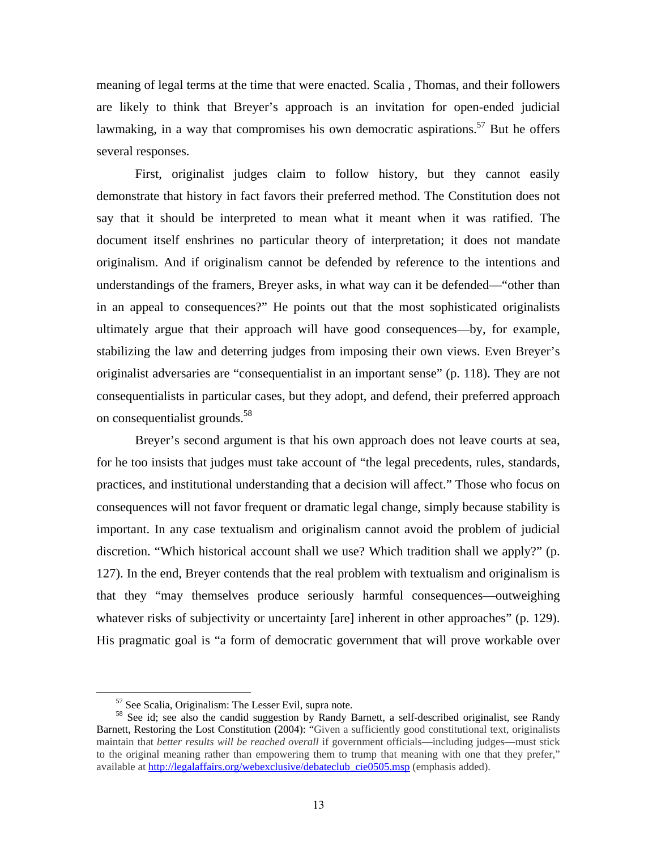meaning of legal terms at the time that were enacted. Scalia , Thomas, and their followers are likely to think that Breyer's approach is an invitation for open-ended judicial lawmaking, in a way that compromises his own democratic aspirations.<sup>57</sup> But he offers several responses.

 First, originalist judges claim to follow history, but they cannot easily demonstrate that history in fact favors their preferred method. The Constitution does not say that it should be interpreted to mean what it meant when it was ratified. The document itself enshrines no particular theory of interpretation; it does not mandate originalism. And if originalism cannot be defended by reference to the intentions and understandings of the framers, Breyer asks, in what way can it be defended—"other than in an appeal to consequences?" He points out that the most sophisticated originalists ultimately argue that their approach will have good consequences—by, for example, stabilizing the law and deterring judges from imposing their own views. Even Breyer's originalist adversaries are "consequentialist in an important sense" (p. 118). They are not consequentialists in particular cases, but they adopt, and defend, their preferred approach on consequentialist grounds.58

 Breyer's second argument is that his own approach does not leave courts at sea, for he too insists that judges must take account of "the legal precedents, rules, standards, practices, and institutional understanding that a decision will affect." Those who focus on consequences will not favor frequent or dramatic legal change, simply because stability is important. In any case textualism and originalism cannot avoid the problem of judicial discretion. "Which historical account shall we use? Which tradition shall we apply?" (p. 127). In the end, Breyer contends that the real problem with textualism and originalism is that they "may themselves produce seriously harmful consequences—outweighing whatever risks of subjectivity or uncertainty [are] inherent in other approaches" (p. 129). His pragmatic goal is "a form of democratic government that will prove workable over

57 See Scalia, Originalism: The Lesser Evil, supra note.

<sup>&</sup>lt;sup>58</sup> See id; see also the candid suggestion by Randy Barnett, a self-described originalist, see Randy Barnett, Restoring the Lost Constitution (2004): "Given a sufficiently good constitutional text, originalists maintain that *better results will be reached overall* if government officials—including judges—must stick to the original meaning rather than empowering them to trump that meaning with one that they prefer," available at http://legalaffairs.org/webexclusive/debateclub\_cie0505.msp (emphasis added).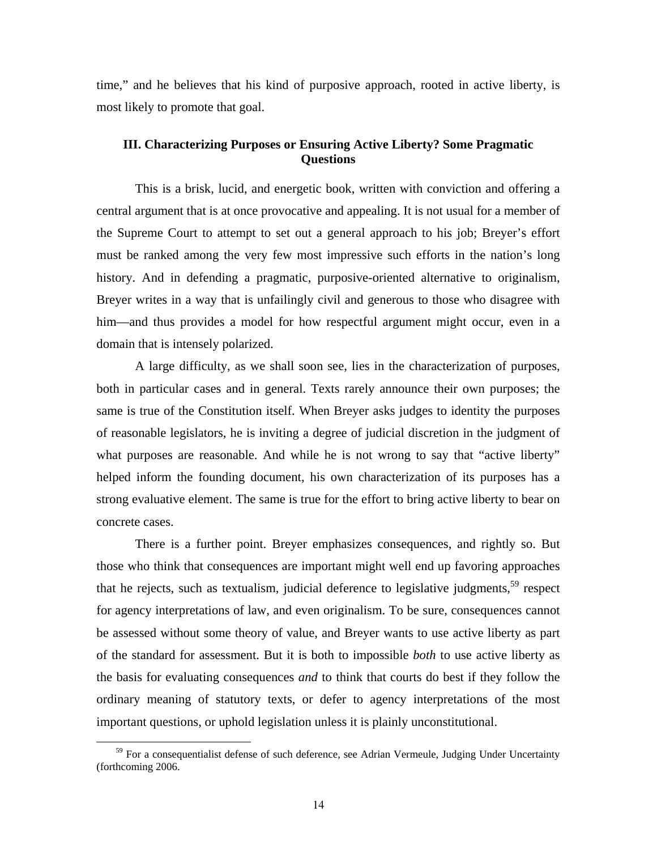time," and he believes that his kind of purposive approach, rooted in active liberty, is most likely to promote that goal.

#### **III. Characterizing Purposes or Ensuring Active Liberty? Some Pragmatic Questions**

 This is a brisk, lucid, and energetic book, written with conviction and offering a central argument that is at once provocative and appealing. It is not usual for a member of the Supreme Court to attempt to set out a general approach to his job; Breyer's effort must be ranked among the very few most impressive such efforts in the nation's long history. And in defending a pragmatic, purposive-oriented alternative to originalism, Breyer writes in a way that is unfailingly civil and generous to those who disagree with him—and thus provides a model for how respectful argument might occur, even in a domain that is intensely polarized.

A large difficulty, as we shall soon see, lies in the characterization of purposes, both in particular cases and in general. Texts rarely announce their own purposes; the same is true of the Constitution itself. When Breyer asks judges to identity the purposes of reasonable legislators, he is inviting a degree of judicial discretion in the judgment of what purposes are reasonable. And while he is not wrong to say that "active liberty" helped inform the founding document, his own characterization of its purposes has a strong evaluative element. The same is true for the effort to bring active liberty to bear on concrete cases.

There is a further point. Breyer emphasizes consequences, and rightly so. But those who think that consequences are important might well end up favoring approaches that he rejects, such as textualism, judicial deference to legislative judgments,<sup>59</sup> respect for agency interpretations of law, and even originalism. To be sure, consequences cannot be assessed without some theory of value, and Breyer wants to use active liberty as part of the standard for assessment. But it is both to impossible *both* to use active liberty as the basis for evaluating consequences *and* to think that courts do best if they follow the ordinary meaning of statutory texts, or defer to agency interpretations of the most important questions, or uphold legislation unless it is plainly unconstitutional.

<sup>&</sup>lt;sup>59</sup> For a consequentialist defense of such deference, see Adrian Vermeule, Judging Under Uncertainty (forthcoming 2006.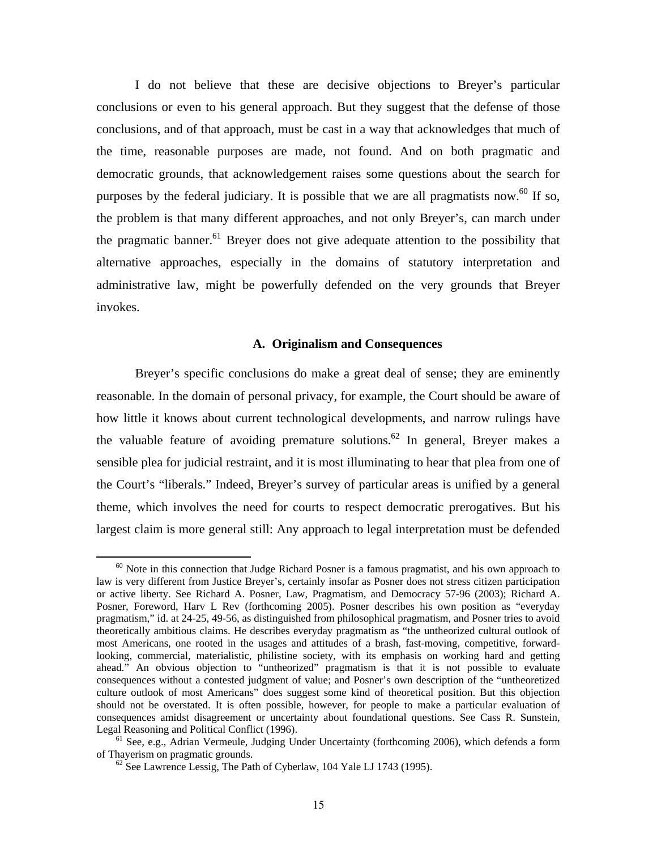I do not believe that these are decisive objections to Breyer's particular conclusions or even to his general approach. But they suggest that the defense of those conclusions, and of that approach, must be cast in a way that acknowledges that much of the time, reasonable purposes are made, not found. And on both pragmatic and democratic grounds, that acknowledgement raises some questions about the search for purposes by the federal judiciary. It is possible that we are all pragmatists now.<sup>60</sup> If so, the problem is that many different approaches, and not only Breyer's, can march under the pragmatic banner.<sup>61</sup> Breyer does not give adequate attention to the possibility that alternative approaches, especially in the domains of statutory interpretation and administrative law, might be powerfully defended on the very grounds that Breyer invokes.

#### **A. Originalism and Consequences**

Breyer's specific conclusions do make a great deal of sense; they are eminently reasonable. In the domain of personal privacy, for example, the Court should be aware of how little it knows about current technological developments, and narrow rulings have the valuable feature of avoiding premature solutions.<sup>62</sup> In general, Breyer makes a sensible plea for judicial restraint, and it is most illuminating to hear that plea from one of the Court's "liberals." Indeed, Breyer's survey of particular areas is unified by a general theme, which involves the need for courts to respect democratic prerogatives. But his largest claim is more general still: Any approach to legal interpretation must be defended

 $60$  Note in this connection that Judge Richard Posner is a famous pragmatist, and his own approach to law is very different from Justice Breyer's, certainly insofar as Posner does not stress citizen participation or active liberty. See Richard A. Posner, Law, Pragmatism, and Democracy 57-96 (2003); Richard A. Posner, Foreword, Harv L Rev (forthcoming 2005). Posner describes his own position as "everyday pragmatism," id. at 24-25, 49-56, as distinguished from philosophical pragmatism, and Posner tries to avoid theoretically ambitious claims. He describes everyday pragmatism as "the untheorized cultural outlook of most Americans, one rooted in the usages and attitudes of a brash, fast-moving, competitive, forwardlooking, commercial, materialistic, philistine society, with its emphasis on working hard and getting ahead." An obvious objection to "untheorized" pragmatism is that it is not possible to evaluate consequences without a contested judgment of value; and Posner's own description of the "untheoretized culture outlook of most Americans" does suggest some kind of theoretical position. But this objection should not be overstated. It is often possible, however, for people to make a particular evaluation of consequences amidst disagreement or uncertainty about foundational questions. See Cass R. Sunstein,

Legal Reasoning and Political Conflict (1996).<br><sup>61</sup> See, e.g., Adrian Vermeule, Judging Under Uncertainty (forthcoming 2006), which defends a form<br>of Thayerism on pragmatic grounds.

 $^{62}$  See Lawrence Lessig, The Path of Cyberlaw, 104 Yale LJ 1743 (1995).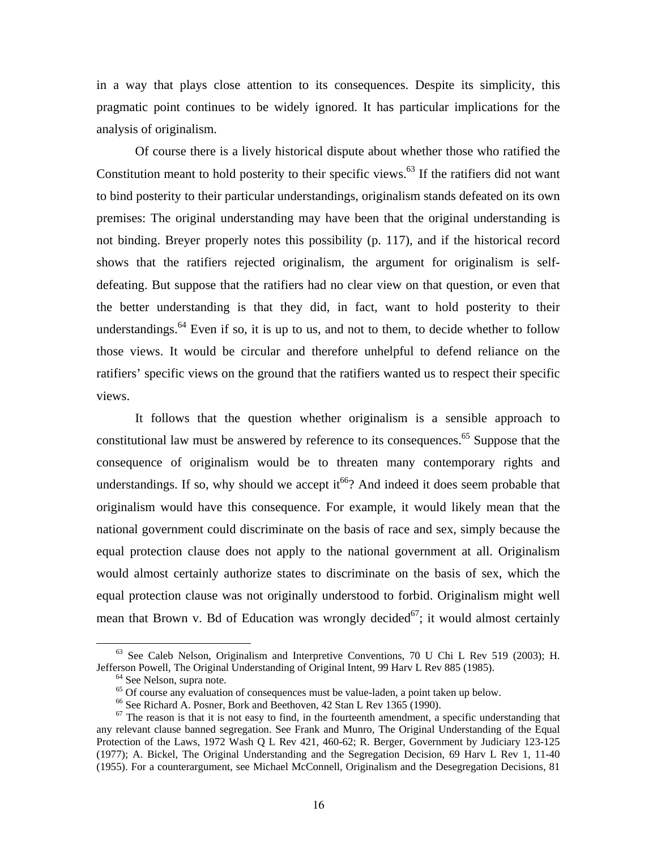in a way that plays close attention to its consequences. Despite its simplicity, this pragmatic point continues to be widely ignored. It has particular implications for the analysis of originalism.

Of course there is a lively historical dispute about whether those who ratified the Constitution meant to hold posterity to their specific views.<sup>63</sup> If the ratifiers did not want to bind posterity to their particular understandings, originalism stands defeated on its own premises: The original understanding may have been that the original understanding is not binding. Breyer properly notes this possibility (p. 117), and if the historical record shows that the ratifiers rejected originalism, the argument for originalism is selfdefeating. But suppose that the ratifiers had no clear view on that question, or even that the better understanding is that they did, in fact, want to hold posterity to their understandings.<sup>64</sup> Even if so, it is up to us, and not to them, to decide whether to follow those views. It would be circular and therefore unhelpful to defend reliance on the ratifiers' specific views on the ground that the ratifiers wanted us to respect their specific views.

It follows that the question whether originalism is a sensible approach to constitutional law must be answered by reference to its consequences.<sup>65</sup> Suppose that the consequence of originalism would be to threaten many contemporary rights and understandings. If so, why should we accept it<sup>66</sup>? And indeed it does seem probable that originalism would have this consequence. For example, it would likely mean that the national government could discriminate on the basis of race and sex, simply because the equal protection clause does not apply to the national government at all. Originalism would almost certainly authorize states to discriminate on the basis of sex, which the equal protection clause was not originally understood to forbid. Originalism might well mean that Brown v. Bd of Education was wrongly decided<sup>67</sup>; it would almost certainly

 $63$  See Caleb Nelson, Originalism and Interpretive Conventions, 70 U Chi L Rev 519 (2003); H. Jefferson Powell, The Original Understanding of Original Intent, 99 Harv L Rev 885 (1985).<br><sup>64</sup> See Nelson, supra note.

<sup>&</sup>lt;sup>65</sup> Of course any evaluation of consequences must be value-laden, a point taken up below.

<sup>&</sup>lt;sup>66</sup> See Richard A. Posner, Bork and Beethoven, 42 Stan L Rev 1365 (1990).

 $67$  The reason is that it is not easy to find, in the fourteenth amendment, a specific understanding that any relevant clause banned segregation. See Frank and Munro, The Original Understanding of the Equal Protection of the Laws, 1972 Wash Q L Rev 421, 460-62; R. Berger, Government by Judiciary 123-125 (1977); A. Bickel, The Original Understanding and the Segregation Decision, 69 Harv L Rev 1, 11-40 (1955). For a counterargument, see Michael McConnell, Originalism and the Desegregation Decisions, 81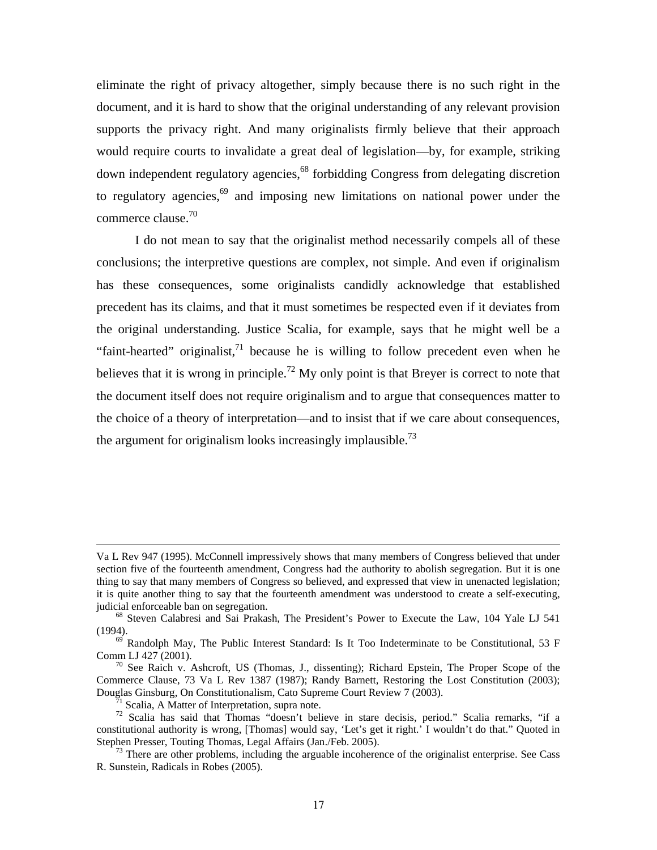eliminate the right of privacy altogether, simply because there is no such right in the document, and it is hard to show that the original understanding of any relevant provision supports the privacy right. And many originalists firmly believe that their approach would require courts to invalidate a great deal of legislation—by, for example, striking down independent regulatory agencies,<sup>68</sup> forbidding Congress from delegating discretion to regulatory agencies,<sup>69</sup> and imposing new limitations on national power under the commerce clause.<sup>70</sup>

I do not mean to say that the originalist method necessarily compels all of these conclusions; the interpretive questions are complex, not simple. And even if originalism has these consequences, some originalists candidly acknowledge that established precedent has its claims, and that it must sometimes be respected even if it deviates from the original understanding. Justice Scalia, for example, says that he might well be a "faint-hearted" originalist, $^{71}$  because he is willing to follow precedent even when he believes that it is wrong in principle.<sup>72</sup> My only point is that Breyer is correct to note that the document itself does not require originalism and to argue that consequences matter to the choice of a theory of interpretation—and to insist that if we care about consequences, the argument for originalism looks increasingly implausible.<sup>73</sup>

 $\overline{a}$ 

Va L Rev 947 (1995). McConnell impressively shows that many members of Congress believed that under section five of the fourteenth amendment, Congress had the authority to abolish segregation. But it is one thing to say that many members of Congress so believed, and expressed that view in unenacted legislation; it is quite another thing to say that the fourteenth amendment was understood to create a self-executing, judicial enforceable ban on segregation.<br><sup>68</sup> Steven Calabresi and Sai Prakash, The President's Power to Execute the Law, 104 Yale LJ 541

<sup>(1994).&</sup>lt;br><sup>69</sup> Randolph May, The Public Interest Standard: Is It Too Indeterminate to be Constitutional, 53 F Comm LJ 427 (2001).

 $70^{\circ}$  See Raich v. Ashcroft, US (Thomas, J., dissenting); Richard Epstein, The Proper Scope of the Commerce Clause, 73 Va L Rev 1387 (1987); Randy Barnett, Restoring the Lost Constitution (2003); Douglas Ginsburg, On Constitutionalism, Cato Supreme Court Review 7 (2003). 71 Scalia, A Matter of Interpretation, supra note.

<sup>72</sup> Scalia has said that Thomas "doesn't believe in stare decisis, period." Scalia remarks, "if a constitutional authority is wrong, [Thomas] would say, 'Let's get it right.' I wouldn't do that." Quoted in Stephen Presser, Touting Thomas, Legal Affairs (Jan./Feb. 2005).

 $73$  There are other problems, including the arguable incoherence of the originalist enterprise. See Cass R. Sunstein, Radicals in Robes (2005).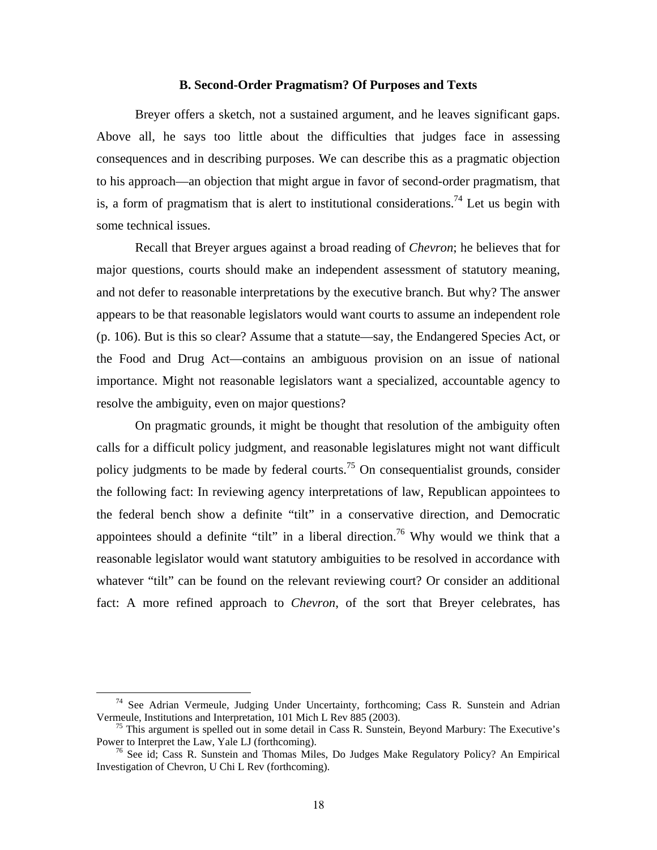#### **B. Second-Order Pragmatism? Of Purposes and Texts**

Breyer offers a sketch, not a sustained argument, and he leaves significant gaps. Above all, he says too little about the difficulties that judges face in assessing consequences and in describing purposes. We can describe this as a pragmatic objection to his approach—an objection that might argue in favor of second-order pragmatism, that is, a form of pragmatism that is alert to institutional considerations.<sup>74</sup> Let us begin with some technical issues.

Recall that Breyer argues against a broad reading of *Chevron*; he believes that for major questions, courts should make an independent assessment of statutory meaning, and not defer to reasonable interpretations by the executive branch. But why? The answer appears to be that reasonable legislators would want courts to assume an independent role (p. 106). But is this so clear? Assume that a statute—say, the Endangered Species Act, or the Food and Drug Act—contains an ambiguous provision on an issue of national importance. Might not reasonable legislators want a specialized, accountable agency to resolve the ambiguity, even on major questions?

On pragmatic grounds, it might be thought that resolution of the ambiguity often calls for a difficult policy judgment, and reasonable legislatures might not want difficult policy judgments to be made by federal courts.<sup>75</sup> On consequentialist grounds, consider the following fact: In reviewing agency interpretations of law, Republican appointees to the federal bench show a definite "tilt" in a conservative direction, and Democratic appointees should a definite "tilt" in a liberal direction.<sup>76</sup> Why would we think that a reasonable legislator would want statutory ambiguities to be resolved in accordance with whatever "tilt" can be found on the relevant reviewing court? Or consider an additional fact: A more refined approach to *Chevron*, of the sort that Breyer celebrates, has

 $74$  See Adrian Vermeule, Judging Under Uncertainty, forthcoming; Cass R. Sunstein and Adrian

Vermeule, Institutions and Interpretation, 101 Mich L Rev 885 (2003).<br><sup>75</sup> This argument is spelled out in some detail in Cass R. Sunstein, Beyond Marbury: The Executive's Power to Interpret the Law, Yale LJ (forthcoming).

 $76$  See id; Cass R. Sunstein and Thomas Miles, Do Judges Make Regulatory Policy? An Empirical Investigation of Chevron, U Chi L Rev (forthcoming).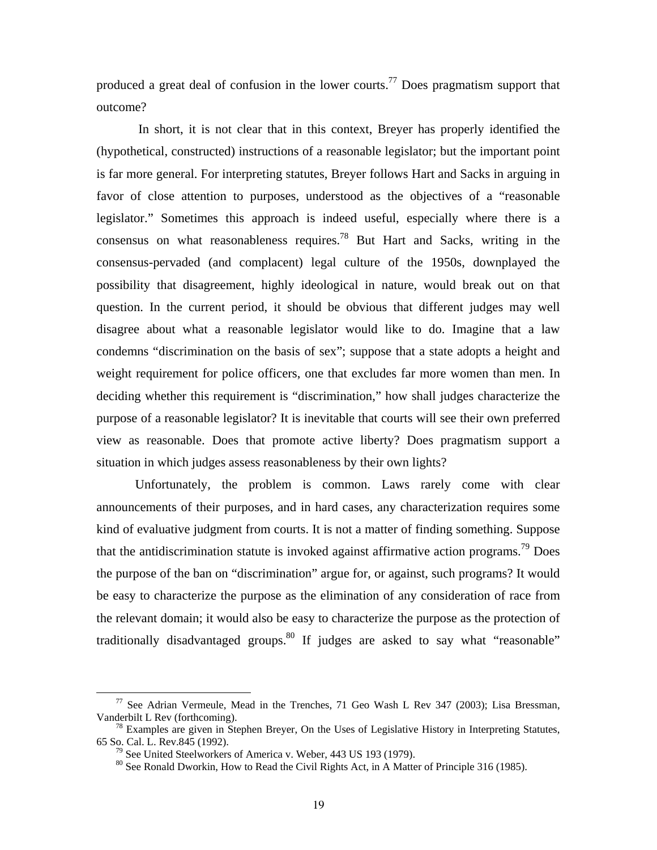produced a great deal of confusion in the lower courts.<sup>77</sup> Does pragmatism support that outcome?

 In short, it is not clear that in this context, Breyer has properly identified the (hypothetical, constructed) instructions of a reasonable legislator; but the important point is far more general. For interpreting statutes, Breyer follows Hart and Sacks in arguing in favor of close attention to purposes, understood as the objectives of a "reasonable legislator." Sometimes this approach is indeed useful, especially where there is a consensus on what reasonableness requires.<sup>78</sup> But Hart and Sacks, writing in the consensus-pervaded (and complacent) legal culture of the 1950s, downplayed the possibility that disagreement, highly ideological in nature, would break out on that question. In the current period, it should be obvious that different judges may well disagree about what a reasonable legislator would like to do. Imagine that a law condemns "discrimination on the basis of sex"; suppose that a state adopts a height and weight requirement for police officers, one that excludes far more women than men. In deciding whether this requirement is "discrimination," how shall judges characterize the purpose of a reasonable legislator? It is inevitable that courts will see their own preferred view as reasonable. Does that promote active liberty? Does pragmatism support a situation in which judges assess reasonableness by their own lights?

Unfortunately, the problem is common. Laws rarely come with clear announcements of their purposes, and in hard cases, any characterization requires some kind of evaluative judgment from courts. It is not a matter of finding something. Suppose that the antidiscrimination statute is invoked against affirmative action programs.<sup>79</sup> Does the purpose of the ban on "discrimination" argue for, or against, such programs? It would be easy to characterize the purpose as the elimination of any consideration of race from the relevant domain; it would also be easy to characterize the purpose as the protection of traditionally disadvantaged groups.<sup>80</sup> If judges are asked to say what "reasonable"

 $77$  See Adrian Vermeule, Mead in the Trenches, 71 Geo Wash L Rev 347 (2003); Lisa Bressman,

Vanderbilt L Rev (forthcoming).<br><sup>78</sup> Examples are given in Stephen Breyer, On the Uses of Legislative History in Interpreting Statutes,<br>65 So. Cal. L. Rev.845 (1992).

<sup>&</sup>lt;sup>79</sup> See United Steelworkers of America v. Weber, 443 US 193 (1979). <sup>80</sup> See Ronald Dworkin, How to Read the Civil Rights Act, in A Matter of Principle 316 (1985).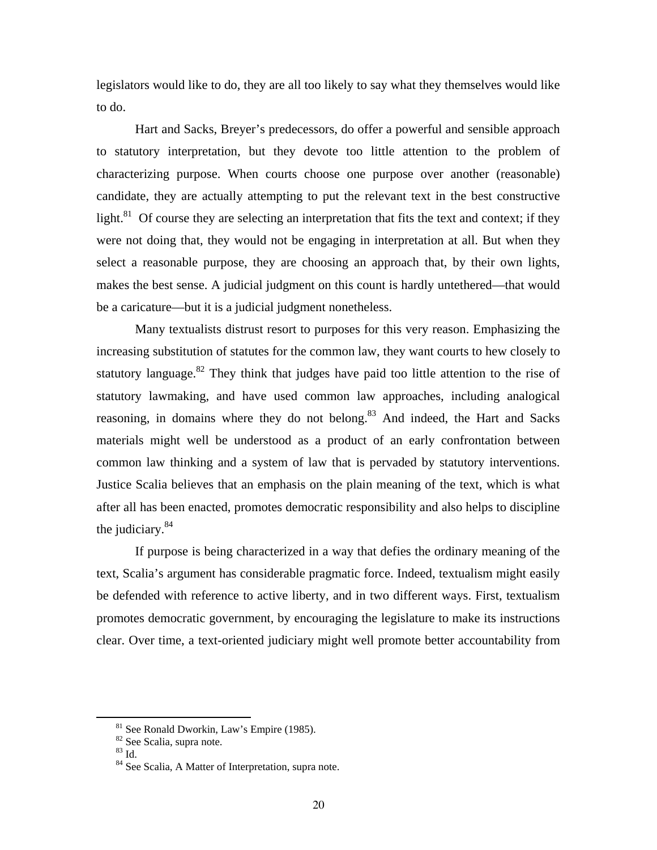legislators would like to do, they are all too likely to say what they themselves would like to do.

Hart and Sacks, Breyer's predecessors, do offer a powerful and sensible approach to statutory interpretation, but they devote too little attention to the problem of characterizing purpose. When courts choose one purpose over another (reasonable) candidate, they are actually attempting to put the relevant text in the best constructive light. $81$  Of course they are selecting an interpretation that fits the text and context; if they were not doing that, they would not be engaging in interpretation at all. But when they select a reasonable purpose, they are choosing an approach that, by their own lights, makes the best sense. A judicial judgment on this count is hardly untethered—that would be a caricature—but it is a judicial judgment nonetheless.

Many textualists distrust resort to purposes for this very reason. Emphasizing the increasing substitution of statutes for the common law, they want courts to hew closely to statutory language. $82$  They think that judges have paid too little attention to the rise of statutory lawmaking, and have used common law approaches, including analogical reasoning, in domains where they do not belong.<sup>83</sup> And indeed, the Hart and Sacks materials might well be understood as a product of an early confrontation between common law thinking and a system of law that is pervaded by statutory interventions. Justice Scalia believes that an emphasis on the plain meaning of the text, which is what after all has been enacted, promotes democratic responsibility and also helps to discipline the judiciary.84

If purpose is being characterized in a way that defies the ordinary meaning of the text, Scalia's argument has considerable pragmatic force. Indeed, textualism might easily be defended with reference to active liberty, and in two different ways. First, textualism promotes democratic government, by encouraging the legislature to make its instructions clear. Over time, a text-oriented judiciary might well promote better accountability from

 $81$  See Ronald Dworkin, Law's Empire (1985).

 $82$  See Scalia, supra note.

<sup>83</sup> Id.

<sup>&</sup>lt;sup>84</sup> See Scalia, A Matter of Interpretation, supra note.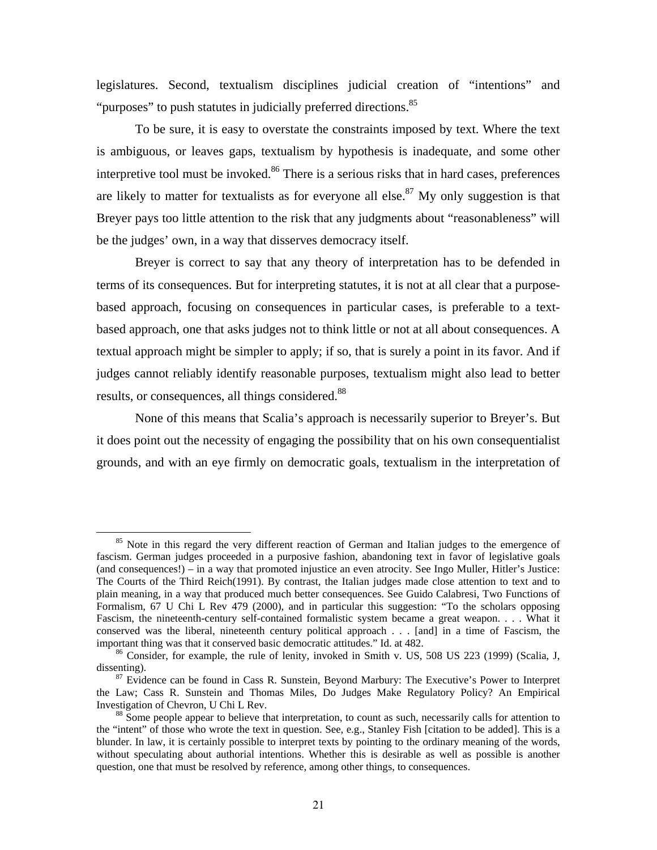legislatures. Second, textualism disciplines judicial creation of "intentions" and "purposes" to push statutes in judicially preferred directions.<sup>85</sup>

To be sure, it is easy to overstate the constraints imposed by text. Where the text is ambiguous, or leaves gaps, textualism by hypothesis is inadequate, and some other interpretive tool must be invoked. $86$  There is a serious risks that in hard cases, preferences are likely to matter for textualists as for everyone all else.<sup>87</sup> My only suggestion is that Breyer pays too little attention to the risk that any judgments about "reasonableness" will be the judges' own, in a way that disserves democracy itself.

Breyer is correct to say that any theory of interpretation has to be defended in terms of its consequences. But for interpreting statutes, it is not at all clear that a purposebased approach, focusing on consequences in particular cases, is preferable to a textbased approach, one that asks judges not to think little or not at all about consequences. A textual approach might be simpler to apply; if so, that is surely a point in its favor. And if judges cannot reliably identify reasonable purposes, textualism might also lead to better results, or consequences, all things considered.<sup>88</sup>

None of this means that Scalia's approach is necessarily superior to Breyer's. But it does point out the necessity of engaging the possibility that on his own consequentialist grounds, and with an eye firmly on democratic goals, textualism in the interpretation of

<sup>&</sup>lt;sup>85</sup> Note in this regard the very different reaction of German and Italian judges to the emergence of fascism. German judges proceeded in a purposive fashion, abandoning text in favor of legislative goals (and consequences!) – in a way that promoted injustice an even atrocity. See Ingo Muller, Hitler's Justice: The Courts of the Third Reich(1991). By contrast, the Italian judges made close attention to text and to plain meaning, in a way that produced much better consequences. See Guido Calabresi, Two Functions of Formalism, 67 U Chi L Rev 479 (2000), and in particular this suggestion: "To the scholars opposing Fascism, the nineteenth-century self-contained formalistic system became a great weapon. . . . What it conserved was the liberal, nineteenth century political approach . . . [and] in a time of Fascism, the important thing was that it conserved basic democratic attitudes." Id. at 482.<br><sup>86</sup> Consider, for example, the rule of lenity, invoked in Smith v. US, 508 US 223 (1999) (Scalia, J,

dissenting).<br><sup>87</sup> Evidence can be found in Cass R. Sunstein, Beyond Marbury: The Executive's Power to Interpret

the Law; Cass R. Sunstein and Thomas Miles, Do Judges Make Regulatory Policy? An Empirical Investigation of Chevron, U Chi L Rev.<br><sup>88</sup> Some people appear to believe that interpretation, to count as such, necessarily calls for attention to

the "intent" of those who wrote the text in question. See, e.g., Stanley Fish [citation to be added]. This is a blunder. In law, it is certainly possible to interpret texts by pointing to the ordinary meaning of the words, without speculating about authorial intentions. Whether this is desirable as well as possible is another question, one that must be resolved by reference, among other things, to consequences.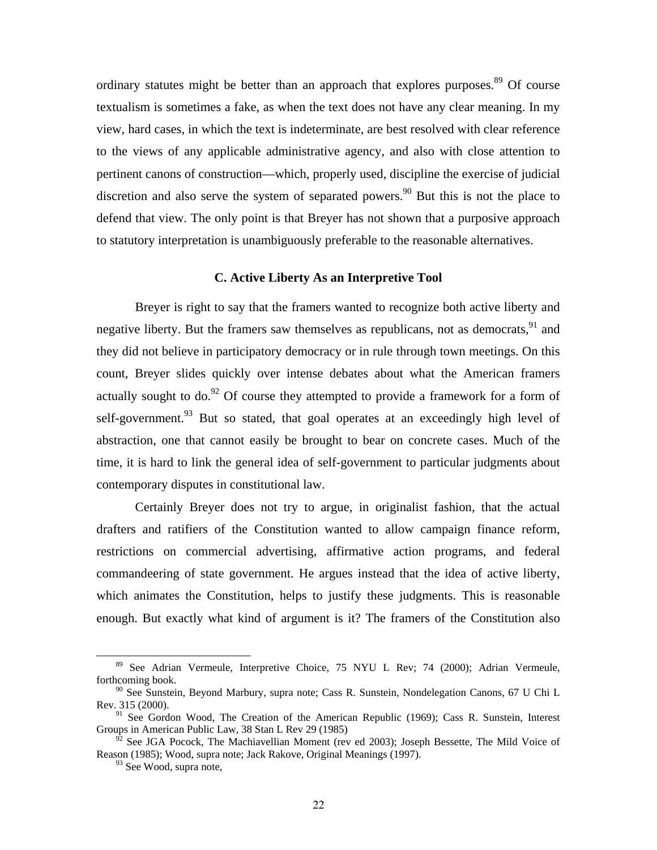ordinary statutes might be better than an approach that explores purposes.<sup>89</sup> Of course textualism is sometimes a fake, as when the text does not have any clear meaning. In my view, hard cases, in which the text is indeterminate, are best resolved with clear reference to the views of any applicable administrative agency, and also with close attention to pertinent canons of construction—which, properly used, discipline the exercise of judicial discretion and also serve the system of separated powers.<sup>90</sup> But this is not the place to defend that view. The only point is that Breyer has not shown that a purposive approach to statutory interpretation is unambiguously preferable to the reasonable alternatives.

#### **C. Active Liberty As an Interpretive Tool**

Breyer is right to say that the framers wanted to recognize both active liberty and negative liberty. But the framers saw themselves as republicans, not as democrats, <sup>91</sup> and they did not believe in participatory democracy or in rule through town meetings. On this count, Breyer slides quickly over intense debates about what the American framers actually sought to do.<sup>92</sup> Of course they attempted to provide a framework for a form of self-government.<sup>93</sup> But so stated, that goal operates at an exceedingly high level of abstraction, one that cannot easily be brought to bear on concrete cases. Much of the time, it is hard to link the general idea of self-government to particular judgments about contemporary disputes in constitutional law.

Certainly Breyer does not try to argue, in originalist fashion, that the actual drafters and ratifiers of the Constitution wanted to allow campaign finance reform, restrictions on commercial advertising, affirmative action programs, and federal commandeering of state government. He argues instead that the idea of active liberty, which animates the Constitution, helps to justify these judgments. This is reasonable enough. But exactly what kind of argument is it? The framers of the Constitution also

<sup>&</sup>lt;sup>89</sup> See Adrian Vermeule, Interpretive Choice, 75 NYU L Rev; 74 (2000); Adrian Vermeule, forthcoming book.

 $90$  See Sunstein, Beyond Marbury, supra note; Cass R. Sunstein, Nondelegation Canons, 67 U Chi L Rev. 315 (2000).

 $91$  See Gordon Wood, The Creation of the American Republic (1969); Cass R. Sunstein, Interest Groups in American Public Law, 38 Stan L Rev 29 (1985)

 $92$  See JGA Pocock, The Machiavellian Moment (rev ed 2003); Joseph Bessette, The Mild Voice of Reason (1985); Wood, supra note; Jack Rakove, Original Meanings (1997).

 $93$  See Wood, supra note,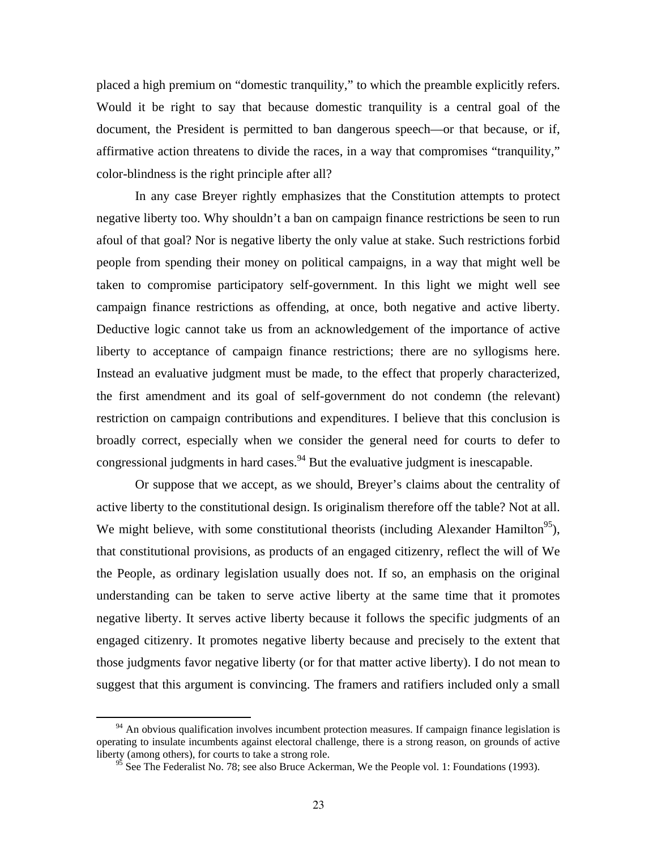placed a high premium on "domestic tranquility," to which the preamble explicitly refers. Would it be right to say that because domestic tranquility is a central goal of the document, the President is permitted to ban dangerous speech—or that because, or if, affirmative action threatens to divide the races, in a way that compromises "tranquility," color-blindness is the right principle after all?

In any case Breyer rightly emphasizes that the Constitution attempts to protect negative liberty too. Why shouldn't a ban on campaign finance restrictions be seen to run afoul of that goal? Nor is negative liberty the only value at stake. Such restrictions forbid people from spending their money on political campaigns, in a way that might well be taken to compromise participatory self-government. In this light we might well see campaign finance restrictions as offending, at once, both negative and active liberty. Deductive logic cannot take us from an acknowledgement of the importance of active liberty to acceptance of campaign finance restrictions; there are no syllogisms here. Instead an evaluative judgment must be made, to the effect that properly characterized, the first amendment and its goal of self-government do not condemn (the relevant) restriction on campaign contributions and expenditures. I believe that this conclusion is broadly correct, especially when we consider the general need for courts to defer to congressional judgments in hard cases.<sup>94</sup> But the evaluative judgment is inescapable.

Or suppose that we accept, as we should, Breyer's claims about the centrality of active liberty to the constitutional design. Is originalism therefore off the table? Not at all. We might believe, with some constitutional theorists (including Alexander Hamilton<sup>95</sup>), that constitutional provisions, as products of an engaged citizenry, reflect the will of We the People, as ordinary legislation usually does not. If so, an emphasis on the original understanding can be taken to serve active liberty at the same time that it promotes negative liberty. It serves active liberty because it follows the specific judgments of an engaged citizenry. It promotes negative liberty because and precisely to the extent that those judgments favor negative liberty (or for that matter active liberty). I do not mean to suggest that this argument is convincing. The framers and ratifiers included only a small

<sup>&</sup>lt;sup>94</sup> An obvious qualification involves incumbent protection measures. If campaign finance legislation is operating to insulate incumbents against electoral challenge, there is a strong reason, on grounds of active liberty (among others), for courts to take a strong role.

See The Federalist No. 78; see also Bruce Ackerman, We the People vol. 1: Foundations (1993).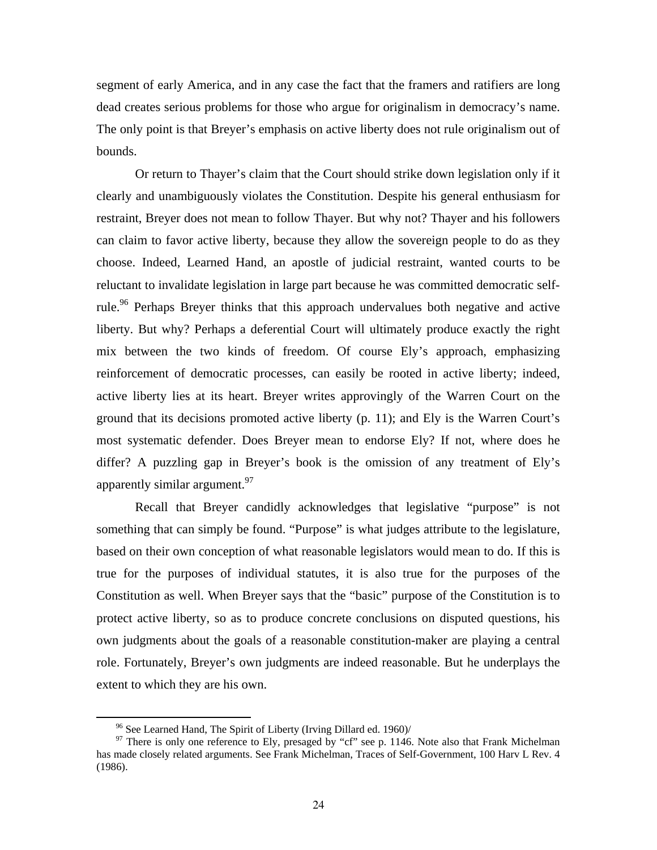segment of early America, and in any case the fact that the framers and ratifiers are long dead creates serious problems for those who argue for originalism in democracy's name. The only point is that Breyer's emphasis on active liberty does not rule originalism out of bounds.

Or return to Thayer's claim that the Court should strike down legislation only if it clearly and unambiguously violates the Constitution. Despite his general enthusiasm for restraint, Breyer does not mean to follow Thayer. But why not? Thayer and his followers can claim to favor active liberty, because they allow the sovereign people to do as they choose. Indeed, Learned Hand, an apostle of judicial restraint, wanted courts to be reluctant to invalidate legislation in large part because he was committed democratic selfrule.<sup>96</sup> Perhaps Breyer thinks that this approach undervalues both negative and active liberty. But why? Perhaps a deferential Court will ultimately produce exactly the right mix between the two kinds of freedom. Of course Ely's approach, emphasizing reinforcement of democratic processes, can easily be rooted in active liberty; indeed, active liberty lies at its heart. Breyer writes approvingly of the Warren Court on the ground that its decisions promoted active liberty (p. 11); and Ely is the Warren Court's most systematic defender. Does Breyer mean to endorse Ely? If not, where does he differ? A puzzling gap in Breyer's book is the omission of any treatment of Ely's apparently similar argument.<sup>97</sup>

Recall that Breyer candidly acknowledges that legislative "purpose" is not something that can simply be found. "Purpose" is what judges attribute to the legislature, based on their own conception of what reasonable legislators would mean to do. If this is true for the purposes of individual statutes, it is also true for the purposes of the Constitution as well. When Breyer says that the "basic" purpose of the Constitution is to protect active liberty, so as to produce concrete conclusions on disputed questions, his own judgments about the goals of a reasonable constitution-maker are playing a central role. Fortunately, Breyer's own judgments are indeed reasonable. But he underplays the extent to which they are his own.

<sup>&</sup>lt;sup>96</sup> See Learned Hand, The Spirit of Liberty (Irving Dillard ed. 1960)/<br><sup>97</sup> There is only one reference to Ely, presaged by "cf" see p. 1146. Note also that Frank Michelman has made closely related arguments. See Frank Michelman, Traces of Self-Government, 100 Harv L Rev. 4 (1986).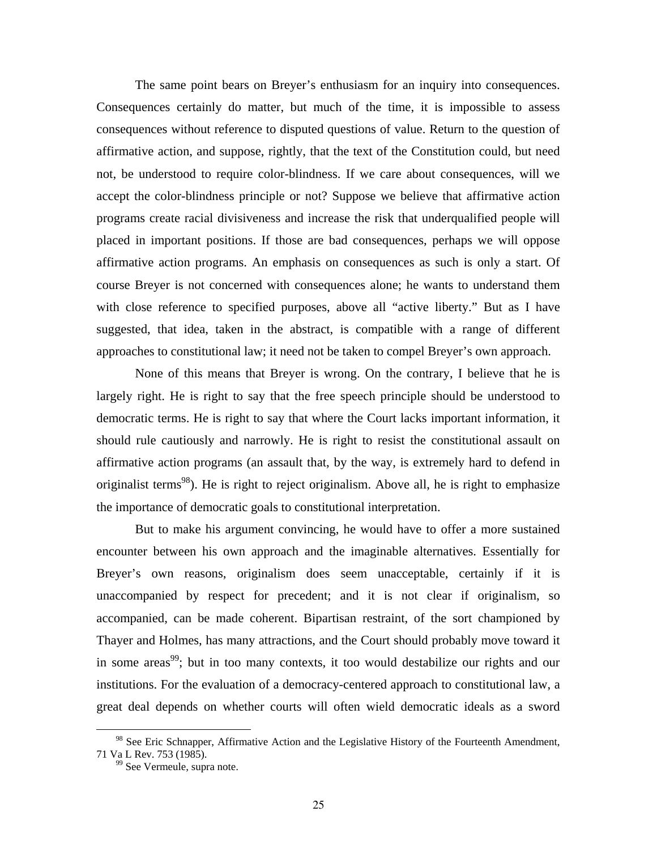The same point bears on Breyer's enthusiasm for an inquiry into consequences. Consequences certainly do matter, but much of the time, it is impossible to assess consequences without reference to disputed questions of value. Return to the question of affirmative action, and suppose, rightly, that the text of the Constitution could, but need not, be understood to require color-blindness. If we care about consequences, will we accept the color-blindness principle or not? Suppose we believe that affirmative action programs create racial divisiveness and increase the risk that underqualified people will placed in important positions. If those are bad consequences, perhaps we will oppose affirmative action programs. An emphasis on consequences as such is only a start. Of course Breyer is not concerned with consequences alone; he wants to understand them with close reference to specified purposes, above all "active liberty." But as I have suggested, that idea, taken in the abstract, is compatible with a range of different approaches to constitutional law; it need not be taken to compel Breyer's own approach.

None of this means that Breyer is wrong. On the contrary, I believe that he is largely right. He is right to say that the free speech principle should be understood to democratic terms. He is right to say that where the Court lacks important information, it should rule cautiously and narrowly. He is right to resist the constitutional assault on affirmative action programs (an assault that, by the way, is extremely hard to defend in originalist terms<sup>98</sup>). He is right to reject originalism. Above all, he is right to emphasize the importance of democratic goals to constitutional interpretation.

But to make his argument convincing, he would have to offer a more sustained encounter between his own approach and the imaginable alternatives. Essentially for Breyer's own reasons, originalism does seem unacceptable, certainly if it is unaccompanied by respect for precedent; and it is not clear if originalism, so accompanied, can be made coherent. Bipartisan restraint, of the sort championed by Thayer and Holmes, has many attractions, and the Court should probably move toward it in some areas<sup>99</sup>; but in too many contexts, it too would destabilize our rights and our institutions. For the evaluation of a democracy-centered approach to constitutional law, a great deal depends on whether courts will often wield democratic ideals as a sword

<sup>&</sup>lt;sup>98</sup> See Eric Schnapper, Affirmative Action and the Legislative History of the Fourteenth Amendment, 71 Va L Rev. 753 (1985).

<sup>&</sup>lt;sup>99</sup> See Vermeule, supra note.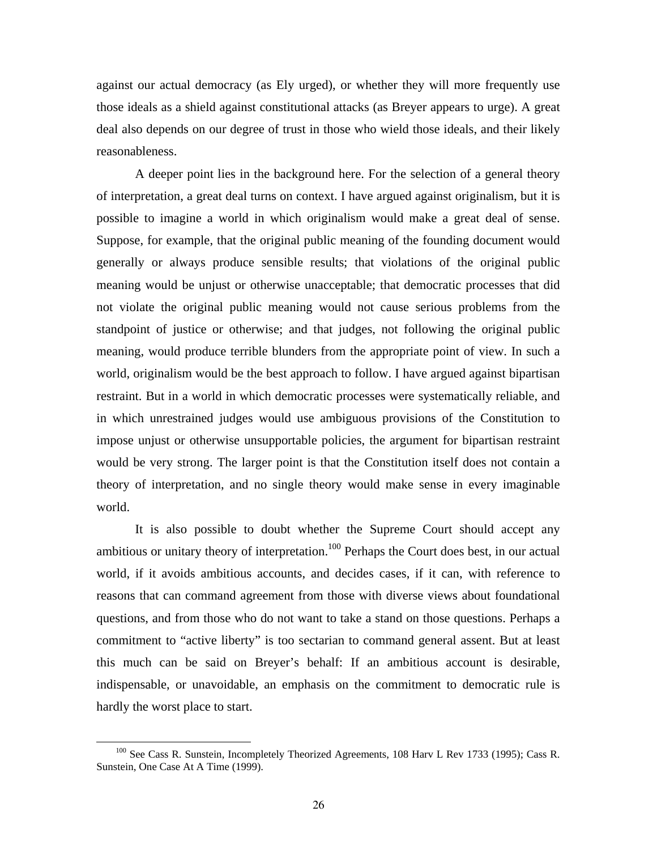against our actual democracy (as Ely urged), or whether they will more frequently use those ideals as a shield against constitutional attacks (as Breyer appears to urge). A great deal also depends on our degree of trust in those who wield those ideals, and their likely reasonableness.

A deeper point lies in the background here. For the selection of a general theory of interpretation, a great deal turns on context. I have argued against originalism, but it is possible to imagine a world in which originalism would make a great deal of sense. Suppose, for example, that the original public meaning of the founding document would generally or always produce sensible results; that violations of the original public meaning would be unjust or otherwise unacceptable; that democratic processes that did not violate the original public meaning would not cause serious problems from the standpoint of justice or otherwise; and that judges, not following the original public meaning, would produce terrible blunders from the appropriate point of view. In such a world, originalism would be the best approach to follow. I have argued against bipartisan restraint. But in a world in which democratic processes were systematically reliable, and in which unrestrained judges would use ambiguous provisions of the Constitution to impose unjust or otherwise unsupportable policies, the argument for bipartisan restraint would be very strong. The larger point is that the Constitution itself does not contain a theory of interpretation, and no single theory would make sense in every imaginable world.

It is also possible to doubt whether the Supreme Court should accept any ambitious or unitary theory of interpretation.<sup>100</sup> Perhaps the Court does best, in our actual world, if it avoids ambitious accounts, and decides cases, if it can, with reference to reasons that can command agreement from those with diverse views about foundational questions, and from those who do not want to take a stand on those questions. Perhaps a commitment to "active liberty" is too sectarian to command general assent. But at least this much can be said on Breyer's behalf: If an ambitious account is desirable, indispensable, or unavoidable, an emphasis on the commitment to democratic rule is hardly the worst place to start.

<sup>&</sup>lt;sup>100</sup> See Cass R. Sunstein, Incompletely Theorized Agreements, 108 Harv L Rev 1733 (1995); Cass R. Sunstein, One Case At A Time (1999).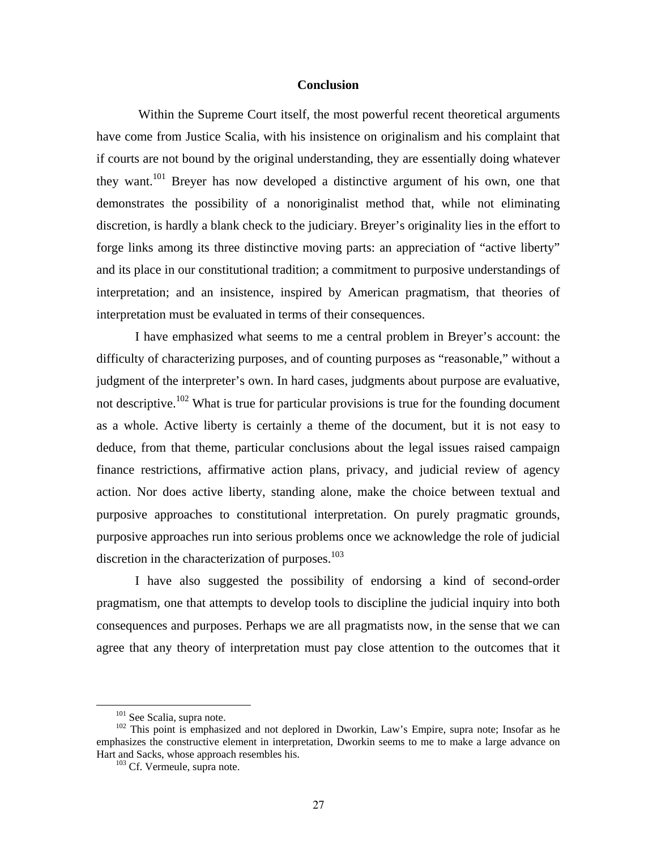#### **Conclusion**

 Within the Supreme Court itself, the most powerful recent theoretical arguments have come from Justice Scalia, with his insistence on originalism and his complaint that if courts are not bound by the original understanding, they are essentially doing whatever they want.<sup>101</sup> Breyer has now developed a distinctive argument of his own, one that demonstrates the possibility of a nonoriginalist method that, while not eliminating discretion, is hardly a blank check to the judiciary. Breyer's originality lies in the effort to forge links among its three distinctive moving parts: an appreciation of "active liberty" and its place in our constitutional tradition; a commitment to purposive understandings of interpretation; and an insistence, inspired by American pragmatism, that theories of interpretation must be evaluated in terms of their consequences.

 I have emphasized what seems to me a central problem in Breyer's account: the difficulty of characterizing purposes, and of counting purposes as "reasonable," without a judgment of the interpreter's own. In hard cases, judgments about purpose are evaluative, not descriptive.<sup>102</sup> What is true for particular provisions is true for the founding document as a whole. Active liberty is certainly a theme of the document, but it is not easy to deduce, from that theme, particular conclusions about the legal issues raised campaign finance restrictions, affirmative action plans, privacy, and judicial review of agency action. Nor does active liberty, standing alone, make the choice between textual and purposive approaches to constitutional interpretation. On purely pragmatic grounds, purposive approaches run into serious problems once we acknowledge the role of judicial discretion in the characterization of purposes.<sup>103</sup>

I have also suggested the possibility of endorsing a kind of second-order pragmatism, one that attempts to develop tools to discipline the judicial inquiry into both consequences and purposes. Perhaps we are all pragmatists now, in the sense that we can agree that any theory of interpretation must pay close attention to the outcomes that it

<sup>&</sup>lt;sup>101</sup> See Scalia, supra note.<br><sup>102</sup> This point is emphasized and not deplored in Dworkin, Law's Empire, supra note; Insofar as he emphasizes the constructive element in interpretation, Dworkin seems to me to make a large advance on Hart and Sacks, whose approach resembles his.<br><sup>103</sup> Cf. Vermeule, supra note.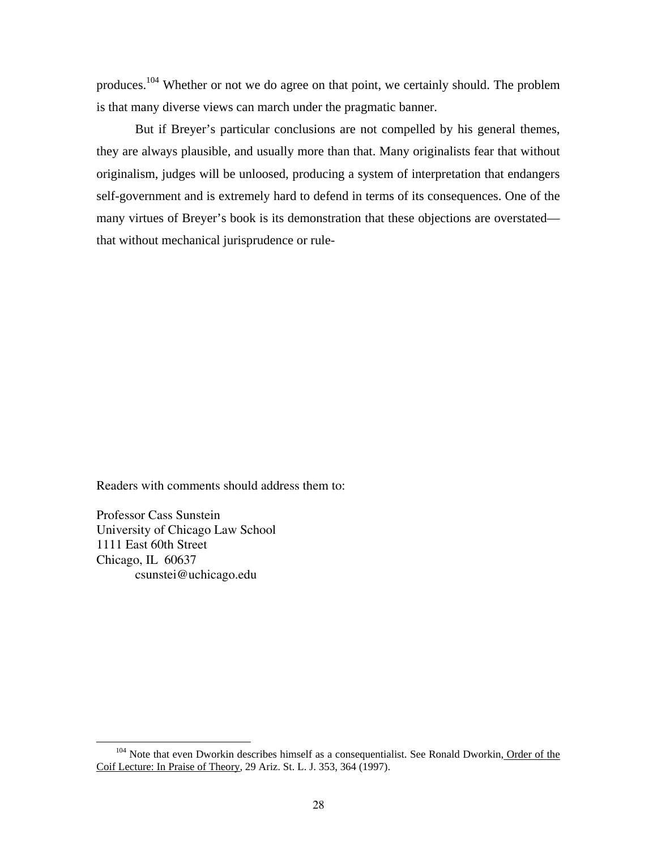produces.104 Whether or not we do agree on that point, we certainly should. The problem is that many diverse views can march under the pragmatic banner.

But if Breyer's particular conclusions are not compelled by his general themes, they are always plausible, and usually more than that. Many originalists fear that without originalism, judges will be unloosed, producing a system of interpretation that endangers self-government and is extremely hard to defend in terms of its consequences. One of the many virtues of Breyer's book is its demonstration that these objections are overstated that without mechanical jurisprudence or rule-

Readers with comments should address them to:

Professor Cass Sunstein University of Chicago Law School 1111 East 60th Street Chicago, IL 60637 csunstei@uchicago.edu

<sup>&</sup>lt;sup>104</sup> Note that even Dworkin describes himself as a consequentialist. See Ronald Dworkin, Order of the Coif Lecture: In Praise of Theory, 29 Ariz. St. L. J. 353, 364 (1997).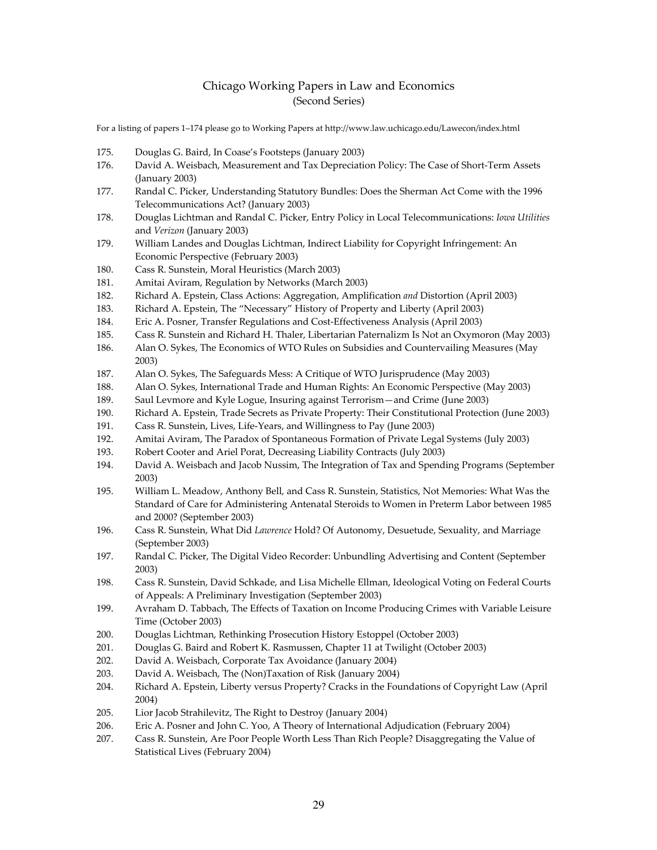#### Chicago Working Papers in Law and Economics (Second Series)

For a listing of papers 1–174 please go to Working Papers at http://www.law.uchicago.edu/Lawecon/index.html

- 175. Douglas G. Baird, In Coase's Footsteps (January 2003)
- 176. David A. Weisbach, Measurement and Tax Depreciation Policy: The Case of Short-Term Assets (January 2003)
- 177. Randal C. Picker, Understanding Statutory Bundles: Does the Sherman Act Come with the 1996 Telecommunications Act? (January 2003)
- 178. Douglas Lichtman and Randal C. Picker, Entry Policy in Local Telecommunications: *Iowa Utilities* and *Verizon* (January 2003)
- 179. William Landes and Douglas Lichtman, Indirect Liability for Copyright Infringement: An Economic Perspective (February 2003)
- 180. Cass R. Sunstein, Moral Heuristics (March 2003)
- 181. Amitai Aviram, Regulation by Networks (March 2003)
- 182. Richard A. Epstein, Class Actions: Aggregation, Amplification *and* Distortion (April 2003)
- 183. Richard A. Epstein, The "Necessary" History of Property and Liberty (April 2003)
- 184. Eric A. Posner, Transfer Regulations and Cost‐Effectiveness Analysis (April 2003)
- 185. Cass R. Sunstein and Richard H. Thaler, Libertarian Paternalizm Is Not an Oxymoron (May 2003)
- 186. Alan O. Sykes, The Economics of WTO Rules on Subsidies and Countervailing Measures (May 2003)
- 187. Alan O. Sykes, The Safeguards Mess: A Critique of WTO Jurisprudence (May 2003)
- 188. Alan O. Sykes, International Trade and Human Rights: An Economic Perspective (May 2003)
- 189. Saul Levmore and Kyle Logue, Insuring against Terrorism—and Crime (June 2003)
- 190. Richard A. Epstein, Trade Secrets as Private Property: Their Constitutional Protection (June 2003)
- 191. Cass R. Sunstein, Lives, Life-Years, and Willingness to Pay (June 2003)
- 192. Amitai Aviram, The Paradox of Spontaneous Formation of Private Legal Systems (July 2003)
- 193. Robert Cooter and Ariel Porat, Decreasing Liability Contracts (July 2003)
- 194. David A. Weisbach and Jacob Nussim, The Integration of Tax and Spending Programs (September 2003)
- 195. William L. Meadow, Anthony Bell, and Cass R. Sunstein, Statistics, Not Memories: What Was the Standard of Care for Administering Antenatal Steroids to Women in Preterm Labor between 1985 and 2000? (September 2003)
- 196. Cass R. Sunstein, What Did *Lawrence* Hold? Of Autonomy, Desuetude, Sexuality, and Marriage (September 2003)
- 197. Randal C. Picker, The Digital Video Recorder: Unbundling Advertising and Content (September 2003)
- 198. Cass R. Sunstein, David Schkade, and Lisa Michelle Ellman, Ideological Voting on Federal Courts of Appeals: A Preliminary Investigation (September 2003)
- 199. Avraham D. Tabbach, The Effects of Taxation on Income Producing Crimes with Variable Leisure Time (October 2003)
- 200. Douglas Lichtman, Rethinking Prosecution History Estoppel (October 2003)
- 201. Douglas G. Baird and Robert K. Rasmussen, Chapter 11 at Twilight (October 2003)
- 202. David A. Weisbach, Corporate Tax Avoidance (January 2004)
- 203. David A. Weisbach, The (Non)Taxation of Risk (January 2004)
- 204. Richard A. Epstein, Liberty versus Property? Cracks in the Foundations of Copyright Law (April 2004)
- 205. Lior Jacob Strahilevitz, The Right to Destroy (January 2004)
- 206. Eric A. Posner and John C. Yoo, A Theory of International Adjudication (February 2004)
- 207. Cass R. Sunstein, Are Poor People Worth Less Than Rich People? Disaggregating the Value of Statistical Lives (February 2004)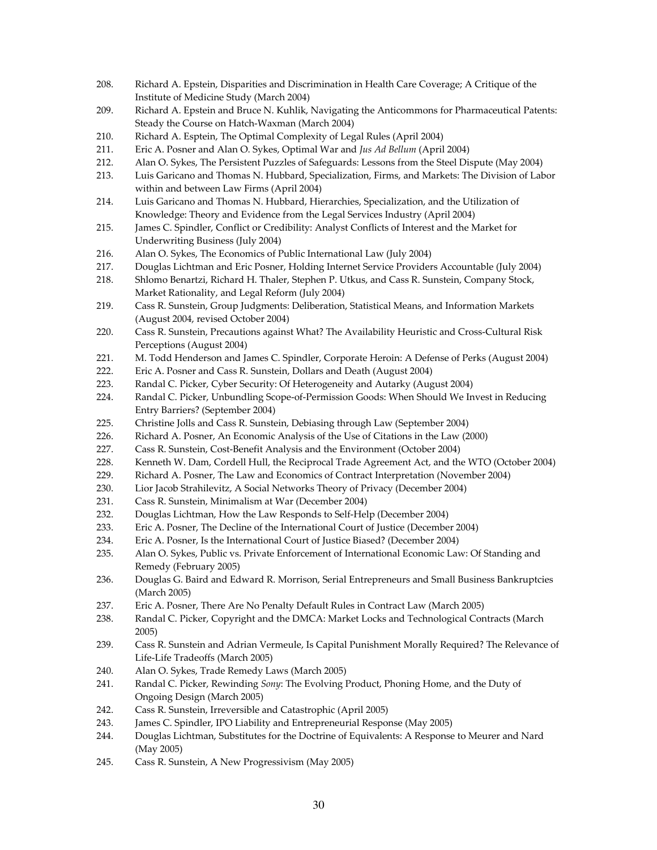- 208. Richard A. Epstein, Disparities and Discrimination in Health Care Coverage; A Critique of the Institute of Medicine Study (March 2004)
- 209. Richard A. Epstein and Bruce N. Kuhlik, Navigating the Anticommons for Pharmaceutical Patents: Steady the Course on Hatch‐Waxman (March 2004)
- 210. Richard A. Esptein, The Optimal Complexity of Legal Rules (April 2004)
- 211. Eric A. Posner and Alan O. Sykes, Optimal War and *Jus Ad Bellum* (April 2004)
- 212. Alan O. Sykes, The Persistent Puzzles of Safeguards: Lessons from the Steel Dispute (May 2004)
- 213. Luis Garicano and Thomas N. Hubbard, Specialization, Firms, and Markets: The Division of Labor within and between Law Firms (April 2004)
- 214. Luis Garicano and Thomas N. Hubbard, Hierarchies, Specialization, and the Utilization of Knowledge: Theory and Evidence from the Legal Services Industry (April 2004)
- 215. James C. Spindler, Conflict or Credibility: Analyst Conflicts of Interest and the Market for Underwriting Business (July 2004)
- 216. Alan O. Sykes, The Economics of Public International Law (July 2004)
- 217. Douglas Lichtman and Eric Posner, Holding Internet Service Providers Accountable (July 2004)
- 218. Shlomo Benartzi, Richard H. Thaler, Stephen P. Utkus, and Cass R. Sunstein, Company Stock, Market Rationality, and Legal Reform (July 2004)
- 219. Cass R. Sunstein, Group Judgments: Deliberation, Statistical Means, and Information Markets (August 2004, revised October 2004)
- 220. Cass R. Sunstein, Precautions against What? The Availability Heuristic and Cross-Cultural Risk Perceptions (August 2004)
- 221. M. Todd Henderson and James C. Spindler, Corporate Heroin: A Defense of Perks (August 2004)
- 222. Eric A. Posner and Cass R. Sunstein, Dollars and Death (August 2004)
- 223. Randal C. Picker, Cyber Security: Of Heterogeneity and Autarky (August 2004)
- 224. Randal C. Picker, Unbundling Scope-of-Permission Goods: When Should We Invest in Reducing Entry Barriers? (September 2004)
- 225. Christine Jolls and Cass R. Sunstein, Debiasing through Law (September 2004)
- 226. Richard A. Posner, An Economic Analysis of the Use of Citations in the Law (2000)
- 227. Cass R. Sunstein, Cost-Benefit Analysis and the Environment (October 2004)
- 228. Kenneth W. Dam, Cordell Hull, the Reciprocal Trade Agreement Act, and the WTO (October 2004)
- 229. Richard A. Posner, The Law and Economics of Contract Interpretation (November 2004)
- 230. Lior Jacob Strahilevitz, A Social Networks Theory of Privacy (December 2004)
- 231. Cass R. Sunstein, Minimalism at War (December 2004)
- 232. Douglas Lichtman, How the Law Responds to Self-Help (December 2004)
- 233. Eric A. Posner, The Decline of the International Court of Justice (December 2004)
- 234. Eric A. Posner, Is the International Court of Justice Biased? (December 2004)
- 235. Alan O. Sykes, Public vs. Private Enforcement of International Economic Law: Of Standing and Remedy (February 2005)
- 236. Douglas G. Baird and Edward R. Morrison, Serial Entrepreneurs and Small Business Bankruptcies (March 2005)
- 237. Eric A. Posner, There Are No Penalty Default Rules in Contract Law (March 2005)
- 238. Randal C. Picker, Copyright and the DMCA: Market Locks and Technological Contracts (March 2005)
- 239. Cass R. Sunstein and Adrian Vermeule, Is Capital Punishment Morally Required? The Relevance of Life‐Life Tradeoffs (March 2005)
- 240. Alan O. Sykes, Trade Remedy Laws (March 2005)
- 241. Randal C. Picker, Rewinding *Sony*: The Evolving Product, Phoning Home, and the Duty of Ongoing Design (March 2005)
- 242. Cass R. Sunstein, Irreversible and Catastrophic (April 2005)
- 243. James C. Spindler, IPO Liability and Entrepreneurial Response (May 2005)
- 244. Douglas Lichtman, Substitutes for the Doctrine of Equivalents: A Response to Meurer and Nard (May 2005)
- 245. Cass R. Sunstein, A New Progressivism (May 2005)